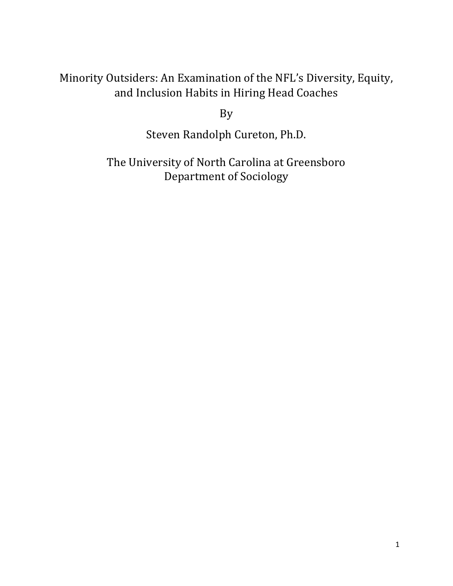# Minority Outsiders: An Examination of the NFL's Diversity, Equity, and Inclusion Habits in Hiring Head Coaches

By

Steven Randolph Cureton, Ph.D.

The University of North Carolina at Greensboro Department of Sociology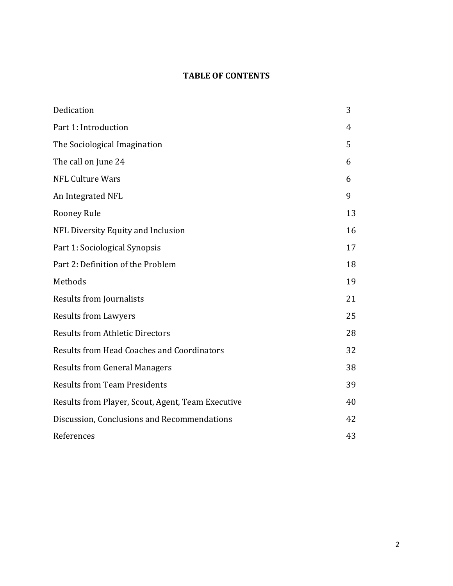# **TABLE OF CONTENTS**

| Dedication                                        | 3  |
|---------------------------------------------------|----|
| Part 1: Introduction                              | 4  |
| The Sociological Imagination                      | 5  |
| The call on June 24                               | 6  |
| <b>NFL Culture Wars</b>                           | 6  |
| An Integrated NFL                                 | 9  |
| Rooney Rule                                       | 13 |
| NFL Diversity Equity and Inclusion                | 16 |
| Part 1: Sociological Synopsis                     | 17 |
| Part 2: Definition of the Problem                 | 18 |
| Methods                                           | 19 |
| <b>Results from Journalists</b>                   | 21 |
| <b>Results from Lawyers</b>                       | 25 |
| <b>Results from Athletic Directors</b>            | 28 |
| <b>Results from Head Coaches and Coordinators</b> | 32 |
| <b>Results from General Managers</b>              | 38 |
| <b>Results from Team Presidents</b>               | 39 |
| Results from Player, Scout, Agent, Team Executive | 40 |
| Discussion, Conclusions and Recommendations       | 42 |
| References                                        | 43 |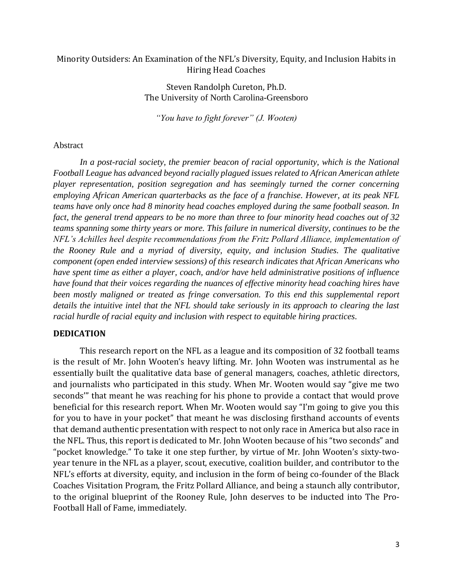# Minority Outsiders: An Examination of the NFL's Diversity, Equity, and Inclusion Habits in Hiring Head Coaches

Steven Randolph Cureton, Ph.D. The University of North Carolina-Greensboro

*"You have to fight forever" (J. Wooten)*

#### Abstract

In a post-racial society, the premier beacon of racial opportunity, which is the National *Football League has advanced beyond racially plagued issues related to African American athlete player representation, position segregation and has seemingly turned the corner concerning employing African American quarterbacks as the face of a franchise. However, at its peak NFL teams have only once had 8 minority head coaches employed during the same football season. In fact, the general trend appears to be no more than three to four minority head coaches out of 32 teams spanning some thirty years or more. This failure in numerical diversity, continues to be the NFL's Achilles heel despite recommendations from the Fritz Pollard Alliance, implementation of the Rooney Rule and a myriad of diversity, equity, and inclusion Studies. The qualitative component (open ended interview sessions) of this research indicates that African Americans who have spent time as either a player, coach, and/or have held administrative positions of influence have found that their voices regarding the nuances of effective minority head coaching hires have been mostly maligned or treated as fringe conversation. To this end this supplemental report details the intuitive intel that the NFL should take seriously in its approach to clearing the last racial hurdle of racial equity and inclusion with respect to equitable hiring practices.* 

#### **DEDICATION**

This research report on the NFL as a league and its composition of 32 football teams is the result of Mr. John Wooten's heavy lifting. Mr. John Wooten was instrumental as he essentially built the qualitative data base of general managers, coaches, athletic directors, and journalists who participated in this study. When Mr. Wooten would say "give me two seconds'" that meant he was reaching for his phone to provide a contact that would prove beneficial for this research report. When Mr. Wooten would say "I'm going to give you this for you to have in your pocket" that meant he was disclosing firsthand accounts of events that demand authentic presentation with respect to not only race in America but also race in the NFL. Thus, this report is dedicated to Mr. John Wooten because of his "two seconds" and "pocket knowledge." To take it one step further, by virtue of Mr. John Wooten's sixty-twoyear tenure in the NFL as a player, scout, executive, coalition builder, and contributor to the NFL's efforts at diversity, equity, and inclusion in the form of being co-founder of the Black Coaches Visitation Program, the Fritz Pollard Alliance, and being a staunch ally contributor, to the original blueprint of the Rooney Rule, John deserves to be inducted into The Pro-Football Hall of Fame, immediately.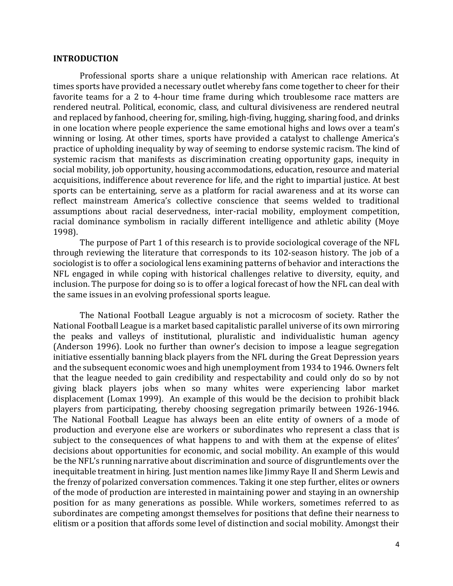#### **INTRODUCTION**

Professional sports share a unique relationship with American race relations. At times sports have provided a necessary outlet whereby fans come together to cheer for their favorite teams for a 2 to 4-hour time frame during which troublesome race matters are rendered neutral. Political, economic, class, and cultural divisiveness are rendered neutral and replaced by fanhood, cheering for, smiling, high-fiving, hugging, sharing food, and drinks in one location where people experience the same emotional highs and lows over a team's winning or losing. At other times, sports have provided a catalyst to challenge America's practice of upholding inequality by way of seeming to endorse systemic racism. The kind of systemic racism that manifests as discrimination creating opportunity gaps, inequity in social mobility, job opportunity, housing accommodations, education, resource and material acquisitions, indifference about reverence for life, and the right to impartial justice. At best sports can be entertaining, serve as a platform for racial awareness and at its worse can reflect mainstream America's collective conscience that seems welded to traditional assumptions about racial deservedness, inter-racial mobility, employment competition, racial dominance symbolism in racially different intelligence and athletic ability (Moye 1998).

The purpose of Part 1 of this research is to provide sociological coverage of the NFL through reviewing the literature that corresponds to its 102-season history. The job of a sociologist is to offer a sociological lens examining patterns of behavior and interactions the NFL engaged in while coping with historical challenges relative to diversity, equity, and inclusion. The purpose for doing so is to offer a logical forecast of how the NFL can deal with the same issues in an evolving professional sports league.

The National Football League arguably is not a microcosm of society. Rather the National Football League is a market based capitalistic parallel universe of its own mirroring the peaks and valleys of institutional, pluralistic and individualistic human agency (Anderson 1996). Look no further than owner's decision to impose a league segregation initiative essentially banning black players from the NFL during the Great Depression years and the subsequent economic woes and high unemployment from 1934 to 1946. Owners felt that the league needed to gain credibility and respectability and could only do so by not giving black players jobs when so many whites were experiencing labor market displacement (Lomax 1999). An example of this would be the decision to prohibit black players from participating, thereby choosing segregation primarily between 1926-1946. The National Football League has always been an elite entity of owners of a mode of production and everyone else are workers or subordinates who represent a class that is subject to the consequences of what happens to and with them at the expense of elites' decisions about opportunities for economic, and social mobility. An example of this would be the NFL's running narrative about discrimination and source of disgruntlements over the inequitable treatment in hiring. Just mention names like Jimmy Raye II and Sherm Lewis and the frenzy of polarized conversation commences. Taking it one step further, elites or owners of the mode of production are interested in maintaining power and staying in an ownership position for as many generations as possible. While workers, sometimes referred to as subordinates are competing amongst themselves for positions that define their nearness to elitism or a position that affords some level of distinction and social mobility. Amongst their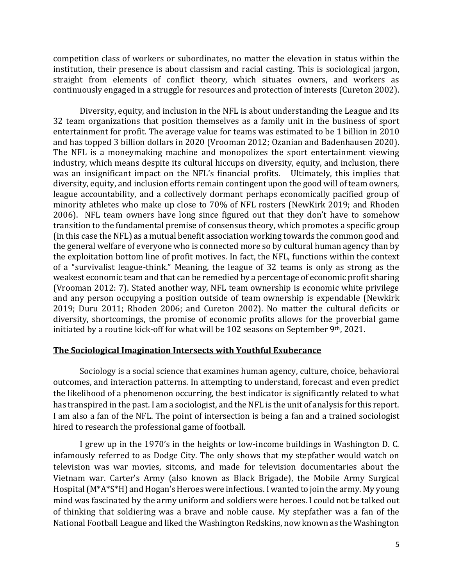competition class of workers or subordinates, no matter the elevation in status within the institution, their presence is about classism and racial casting. This is sociological jargon, straight from elements of conflict theory, which situates owners, and workers as continuously engaged in a struggle for resources and protection of interests (Cureton 2002).

Diversity, equity, and inclusion in the NFL is about understanding the League and its 32 team organizations that position themselves as a family unit in the business of sport entertainment for profit. The average value for teams was estimated to be 1 billion in 2010 and has topped 3 billion dollars in 2020 (Vrooman 2012; Ozanian and Badenhausen 2020). The NFL is a moneymaking machine and monopolizes the sport entertainment viewing industry, which means despite its cultural hiccups on diversity, equity, and inclusion, there was an insignificant impact on the NFL's financial profits. Ultimately, this implies that diversity, equity, and inclusion efforts remain contingent upon the good will of team owners, league accountability, and a collectively dormant perhaps economically pacified group of minority athletes who make up close to 70% of NFL rosters (NewKirk 2019; and Rhoden 2006). NFL team owners have long since figured out that they don't have to somehow transition to the fundamental premise of consensus theory, which promotes a specific group (in this case the NFL) as a mutual benefit association working towards the common good and the general welfare of everyone who is connected more so by cultural human agency than by the exploitation bottom line of profit motives. In fact, the NFL, functions within the context of a "survivalist league-think." Meaning, the league of 32 teams is only as strong as the weakest economic team and that can be remedied by a percentage of economic profit sharing (Vrooman 2012: 7). Stated another way, NFL team ownership is economic white privilege and any person occupying a position outside of team ownership is expendable (Newkirk 2019; Duru 2011; Rhoden 2006; and Cureton 2002). No matter the cultural deficits or diversity, shortcomings, the promise of economic profits allows for the proverbial game initiated by a routine kick-off for what will be 102 seasons on September 9th, 2021.

# **The Sociological Imagination Intersects with Youthful Exuberance**

Sociology is a social science that examines human agency, culture, choice, behavioral outcomes, and interaction patterns. In attempting to understand, forecast and even predict the likelihood of a phenomenon occurring, the best indicator is significantly related to what has transpired in the past. I am a sociologist, and the NFL is the unit of analysis for this report. I am also a fan of the NFL. The point of intersection is being a fan and a trained sociologist hired to research the professional game of football.

I grew up in the 1970's in the heights or low-income buildings in Washington D. C. infamously referred to as Dodge City. The only shows that my stepfather would watch on television was war movies, sitcoms, and made for television documentaries about the Vietnam war. Carter's Army (also known as Black Brigade), the Mobile Army Surgical Hospital (M\*A\*S\*H) and Hogan's Heroes were infectious. I wanted to join the army. My young mind was fascinated by the army uniform and soldiers were heroes. I could not be talked out of thinking that soldiering was a brave and noble cause. My stepfather was a fan of the National Football League and liked the Washington Redskins, now known as the Washington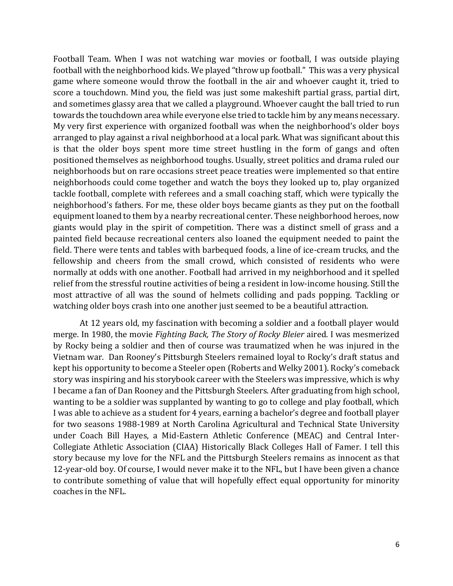Football Team. When I was not watching war movies or football, I was outside playing football with the neighborhood kids. We played "throw up football." This was a very physical game where someone would throw the football in the air and whoever caught it, tried to score a touchdown. Mind you, the field was just some makeshift partial grass, partial dirt, and sometimes glassy area that we called a playground. Whoever caught the ball tried to run towards the touchdown area while everyone else tried to tackle him by any means necessary. My very first experience with organized football was when the neighborhood's older boys arranged to play against a rival neighborhood at a local park. What was significant about this is that the older boys spent more time street hustling in the form of gangs and often positioned themselves as neighborhood toughs. Usually, street politics and drama ruled our neighborhoods but on rare occasions street peace treaties were implemented so that entire neighborhoods could come together and watch the boys they looked up to, play organized tackle football, complete with referees and a small coaching staff, which were typically the neighborhood's fathers. For me, these older boys became giants as they put on the football equipment loaned to them by a nearby recreational center. These neighborhood heroes, now giants would play in the spirit of competition. There was a distinct smell of grass and a painted field because recreational centers also loaned the equipment needed to paint the field. There were tents and tables with barbequed foods, a line of ice-cream trucks, and the fellowship and cheers from the small crowd, which consisted of residents who were normally at odds with one another. Football had arrived in my neighborhood and it spelled relief from the stressful routine activities of being a resident in low-income housing. Still the most attractive of all was the sound of helmets colliding and pads popping. Tackling or watching older boys crash into one another just seemed to be a beautiful attraction.

At 12 years old, my fascination with becoming a soldier and a football player would merge. In 1980, the movie *Fighting Back, The Story of Rocky Bleier* aired. I was mesmerized by Rocky being a soldier and then of course was traumatized when he was injured in the Vietnam war. Dan Rooney's Pittsburgh Steelers remained loyal to Rocky's draft status and kept his opportunity to become a Steeler open (Roberts and Welky 2001). Rocky's comeback story was inspiring and his storybook career with the Steelers was impressive, which is why I became a fan of Dan Rooney and the Pittsburgh Steelers. After graduating from high school, wanting to be a soldier was supplanted by wanting to go to college and play football, which I was able to achieve as a student for 4 years, earning a bachelor's degree and football player for two seasons 1988-1989 at North Carolina Agricultural and Technical State University under Coach Bill Hayes, a Mid-Eastern Athletic Conference (MEAC) and Central Inter-Collegiate Athletic Association (CIAA) Historically Black Colleges Hall of Famer. I tell this story because my love for the NFL and the Pittsburgh Steelers remains as innocent as that 12-year-old boy. Of course, I would never make it to the NFL, but I have been given a chance to contribute something of value that will hopefully effect equal opportunity for minority coaches in the NFL.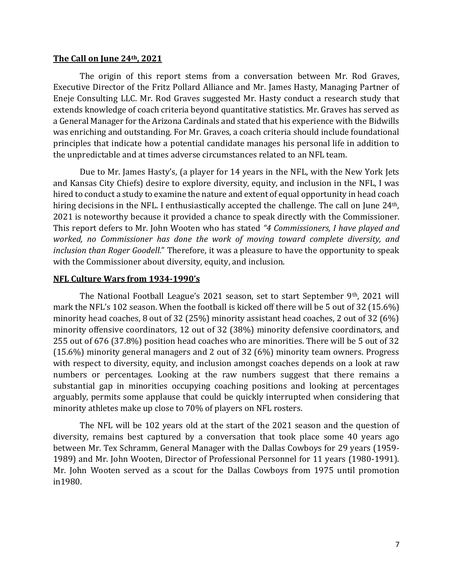### **The Call on June 24th, 2021**

The origin of this report stems from a conversation between Mr. Rod Graves, Executive Director of the Fritz Pollard Alliance and Mr. James Hasty, Managing Partner of Eneje Consulting LLC. Mr. Rod Graves suggested Mr. Hasty conduct a research study that extends knowledge of coach criteria beyond quantitative statistics. Mr. Graves has served as a General Manager for the Arizona Cardinals and stated that his experience with the Bidwills was enriching and outstanding. For Mr. Graves, a coach criteria should include foundational principles that indicate how a potential candidate manages his personal life in addition to the unpredictable and at times adverse circumstances related to an NFL team.

Due to Mr. James Hasty's, (a player for 14 years in the NFL, with the New York Jets and Kansas City Chiefs) desire to explore diversity, equity, and inclusion in the NFL, I was hired to conduct a study to examine the nature and extent of equal opportunity in head coach hiring decisions in the NFL. I enthusiastically accepted the challenge. The call on June 24<sup>th</sup>, 2021 is noteworthy because it provided a chance to speak directly with the Commissioner. This report defers to Mr. John Wooten who has stated *"4 Commissioners, I have played and worked, no Commissioner has done the work of moving toward complete diversity, and inclusion than Roger Goodell.*" Therefore, it was a pleasure to have the opportunity to speak with the Commissioner about diversity, equity, and inclusion.

### **NFL Culture Wars from 1934-1990's**

The National Football League's 2021 season, set to start September 9<sup>th</sup>, 2021 will mark the NFL's 102 season. When the football is kicked off there will be 5 out of 32 (15.6%) minority head coaches, 8 out of 32 (25%) minority assistant head coaches, 2 out of 32 (6%) minority offensive coordinators, 12 out of 32 (38%) minority defensive coordinators, and 255 out of 676 (37.8%) position head coaches who are minorities. There will be 5 out of 32 (15.6%) minority general managers and 2 out of 32 (6%) minority team owners. Progress with respect to diversity, equity, and inclusion amongst coaches depends on a look at raw numbers or percentages. Looking at the raw numbers suggest that there remains a substantial gap in minorities occupying coaching positions and looking at percentages arguably, permits some applause that could be quickly interrupted when considering that minority athletes make up close to 70% of players on NFL rosters.

The NFL will be 102 years old at the start of the 2021 season and the question of diversity, remains best captured by a conversation that took place some 40 years ago between Mr. Tex Schramm, General Manager with the Dallas Cowboys for 29 years (1959- 1989) and Mr. John Wooten, Director of Professional Personnel for 11 years (1980-1991). Mr. John Wooten served as a scout for the Dallas Cowboys from 1975 until promotion in1980.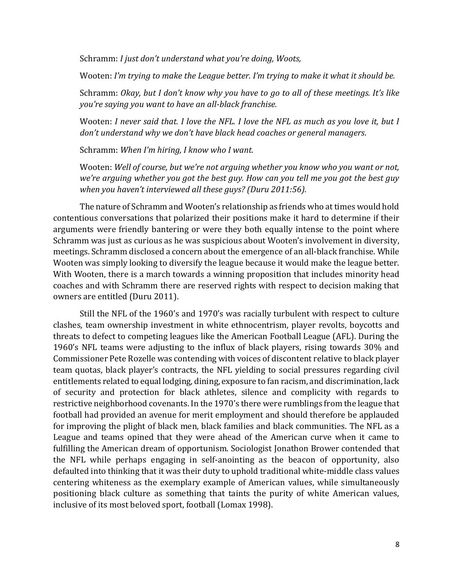Schramm: *I just don't understand what you're doing, Woots,*

Wooten: *I'm trying to make the League better. I'm trying to make it what it should be.*

Schramm: *Okay, but I don't know why you have to go to all of these meetings. It's like you're saying you want to have an all-black franchise.*

Wooten: *I never said that. I love the NFL. I love the NFL as much as you love it, but I don't understand why we don't have black head coaches or general managers.*

Schramm: *When I'm hiring, I know who I want.*

Wooten: *Well of course, but we're not arguing whether you know who you want or not, we're arguing whether you got the best guy. How can you tell me you got the best guy when you haven't interviewed all these guys? (Duru 2011:56).*

The nature of Schramm and Wooten's relationship as friends who at times would hold contentious conversations that polarized their positions make it hard to determine if their arguments were friendly bantering or were they both equally intense to the point where Schramm was just as curious as he was suspicious about Wooten's involvement in diversity, meetings. Schramm disclosed a concern about the emergence of an all-black franchise. While Wooten was simply looking to diversify the league because it would make the league better. With Wooten, there is a march towards a winning proposition that includes minority head coaches and with Schramm there are reserved rights with respect to decision making that owners are entitled (Duru 2011).

Still the NFL of the 1960's and 1970's was racially turbulent with respect to culture clashes, team ownership investment in white ethnocentrism, player revolts, boycotts and threats to defect to competing leagues like the American Football League (AFL). During the 1960's NFL teams were adjusting to the influx of black players, rising towards 30% and Commissioner Pete Rozelle was contending with voices of discontent relative to black player team quotas, black player's contracts, the NFL yielding to social pressures regarding civil entitlements related to equal lodging, dining, exposure to fan racism, and discrimination, lack of security and protection for black athletes, silence and complicity with regards to restrictive neighborhood covenants. In the 1970's there were rumblings from the league that football had provided an avenue for merit employment and should therefore be applauded for improving the plight of black men, black families and black communities. The NFL as a League and teams opined that they were ahead of the American curve when it came to fulfilling the American dream of opportunism. Sociologist Jonathon Brower contended that the NFL while perhaps engaging in self-anointing as the beacon of opportunity, also defaulted into thinking that it was their duty to uphold traditional white-middle class values centering whiteness as the exemplary example of American values, while simultaneously positioning black culture as something that taints the purity of white American values, inclusive of its most beloved sport, football (Lomax 1998).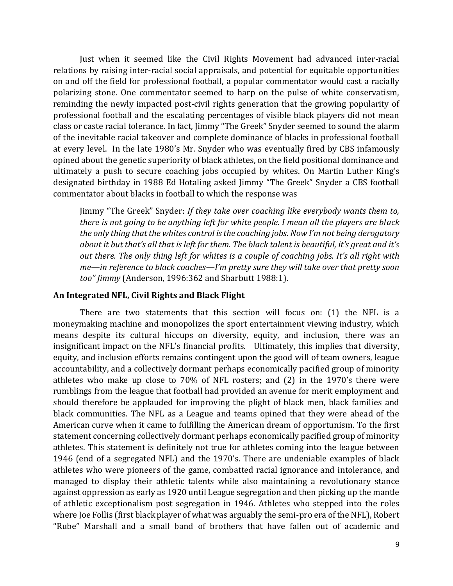Just when it seemed like the Civil Rights Movement had advanced inter-racial relations by raising inter-racial social appraisals, and potential for equitable opportunities on and off the field for professional football, a popular commentator would cast a racially polarizing stone. One commentator seemed to harp on the pulse of white conservatism, reminding the newly impacted post-civil rights generation that the growing popularity of professional football and the escalating percentages of visible black players did not mean class or caste racial tolerance. In fact, Jimmy "The Greek" Snyder seemed to sound the alarm of the inevitable racial takeover and complete dominance of blacks in professional football at every level. In the late 1980's Mr. Snyder who was eventually fired by CBS infamously opined about the genetic superiority of black athletes, on the field positional dominance and ultimately a push to secure coaching jobs occupied by whites. On Martin Luther King's designated birthday in 1988 Ed Hotaling asked Jimmy "The Greek" Snyder a CBS football commentator about blacks in football to which the response was

Jimmy "The Greek" Snyder: *If they take over coaching like everybody wants them to, there is not going to be anything left for white people. I mean all the players are black the only thing that the whites control is the coaching jobs. Now I'm not being derogatory about it but that's all that is left for them. The black talent is beautiful, it's great and it's out there. The only thing left for whites is a couple of coaching jobs. It's all right with me—in reference to black coaches—I'm pretty sure they will take over that pretty soon too" Jimmy* (Anderson, 1996:362 and Sharbutt 1988:1).

### **An Integrated NFL, Civil Rights and Black Flight**

There are two statements that this section will focus on: (1) the NFL is a moneymaking machine and monopolizes the sport entertainment viewing industry, which means despite its cultural hiccups on diversity, equity, and inclusion, there was an insignificant impact on the NFL's financial profits. Ultimately, this implies that diversity, equity, and inclusion efforts remains contingent upon the good will of team owners, league accountability, and a collectively dormant perhaps economically pacified group of minority athletes who make up close to 70% of NFL rosters; and (2) in the 1970's there were rumblings from the league that football had provided an avenue for merit employment and should therefore be applauded for improving the plight of black men, black families and black communities. The NFL as a League and teams opined that they were ahead of the American curve when it came to fulfilling the American dream of opportunism. To the first statement concerning collectively dormant perhaps economically pacified group of minority athletes. This statement is definitely not true for athletes coming into the league between 1946 (end of a segregated NFL) and the 1970's. There are undeniable examples of black athletes who were pioneers of the game, combatted racial ignorance and intolerance, and managed to display their athletic talents while also maintaining a revolutionary stance against oppression as early as 1920 until League segregation and then picking up the mantle of athletic exceptionalism post segregation in 1946. Athletes who stepped into the roles where Joe Follis (first black player of what was arguably the semi-pro era of the NFL), Robert "Rube" Marshall and a small band of brothers that have fallen out of academic and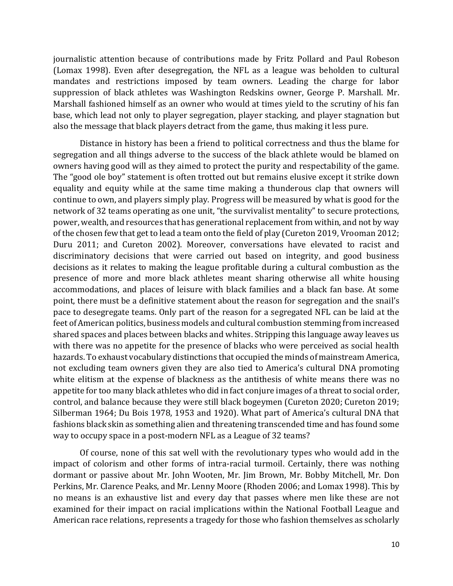journalistic attention because of contributions made by Fritz Pollard and Paul Robeson (Lomax 1998). Even after desegregation, the NFL as a league was beholden to cultural mandates and restrictions imposed by team owners. Leading the charge for labor suppression of black athletes was Washington Redskins owner, George P. Marshall. Mr. Marshall fashioned himself as an owner who would at times yield to the scrutiny of his fan base, which lead not only to player segregation, player stacking, and player stagnation but also the message that black players detract from the game, thus making it less pure.

Distance in history has been a friend to political correctness and thus the blame for segregation and all things adverse to the success of the black athlete would be blamed on owners having good will as they aimed to protect the purity and respectability of the game. The "good ole boy" statement is often trotted out but remains elusive except it strike down equality and equity while at the same time making a thunderous clap that owners will continue to own, and players simply play. Progress will be measured by what is good for the network of 32 teams operating as one unit, "the survivalist mentality" to secure protections, power, wealth, and resources that has generational replacement from within, and not by way of the chosen few that get to lead a team onto the field of play (Cureton 2019, Vrooman 2012; Duru 2011; and Cureton 2002). Moreover, conversations have elevated to racist and discriminatory decisions that were carried out based on integrity, and good business decisions as it relates to making the league profitable during a cultural combustion as the presence of more and more black athletes meant sharing otherwise all white housing accommodations, and places of leisure with black families and a black fan base. At some point, there must be a definitive statement about the reason for segregation and the snail's pace to desegregate teams. Only part of the reason for a segregated NFL can be laid at the feet of American politics, business models and cultural combustion stemming from increased shared spaces and places between blacks and whites. Stripping this language away leaves us with there was no appetite for the presence of blacks who were perceived as social health hazards. To exhaust vocabulary distinctions that occupied the minds of mainstream America, not excluding team owners given they are also tied to America's cultural DNA promoting white elitism at the expense of blackness as the antithesis of white means there was no appetite for too many black athletes who did in fact conjure images of a threat to social order, control, and balance because they were still black bogeymen (Cureton 2020; Cureton 2019; Silberman 1964; Du Bois 1978, 1953 and 1920). What part of America's cultural DNA that fashions black skin as something alien and threatening transcended time and has found some way to occupy space in a post-modern NFL as a League of 32 teams?

Of course, none of this sat well with the revolutionary types who would add in the impact of colorism and other forms of intra-racial turmoil. Certainly, there was nothing dormant or passive about Mr. John Wooten, Mr. Jim Brown, Mr. Bobby Mitchell, Mr. Don Perkins, Mr. Clarence Peaks, and Mr. Lenny Moore (Rhoden 2006; and Lomax 1998). This by no means is an exhaustive list and every day that passes where men like these are not examined for their impact on racial implications within the National Football League and American race relations, represents a tragedy for those who fashion themselves as scholarly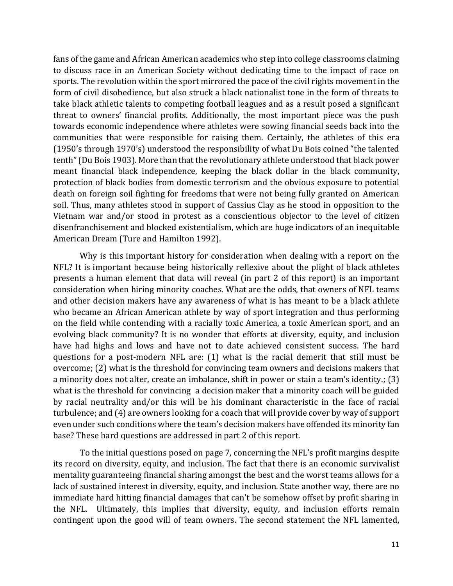fans of the game and African American academics who step into college classrooms claiming to discuss race in an American Society without dedicating time to the impact of race on sports. The revolution within the sport mirrored the pace of the civil rights movement in the form of civil disobedience, but also struck a black nationalist tone in the form of threats to take black athletic talents to competing football leagues and as a result posed a significant threat to owners' financial profits. Additionally, the most important piece was the push towards economic independence where athletes were sowing financial seeds back into the communities that were responsible for raising them. Certainly, the athletes of this era (1950's through 1970's) understood the responsibility of what Du Bois coined "the talented tenth" (Du Bois 1903). More than that the revolutionary athlete understood that black power meant financial black independence, keeping the black dollar in the black community, protection of black bodies from domestic terrorism and the obvious exposure to potential death on foreign soil fighting for freedoms that were not being fully granted on American soil. Thus, many athletes stood in support of Cassius Clay as he stood in opposition to the Vietnam war and/or stood in protest as a conscientious objector to the level of citizen disenfranchisement and blocked existentialism, which are huge indicators of an inequitable American Dream (Ture and Hamilton 1992).

Why is this important history for consideration when dealing with a report on the NFL? It is important because being historically reflexive about the plight of black athletes presents a human element that data will reveal (in part 2 of this report) is an important consideration when hiring minority coaches. What are the odds, that owners of NFL teams and other decision makers have any awareness of what is has meant to be a black athlete who became an African American athlete by way of sport integration and thus performing on the field while contending with a racially toxic America, a toxic American sport, and an evolving black community? It is no wonder that efforts at diversity, equity, and inclusion have had highs and lows and have not to date achieved consistent success. The hard questions for a post-modern NFL are: (1) what is the racial demerit that still must be overcome; (2) what is the threshold for convincing team owners and decisions makers that a minority does not alter, create an imbalance, shift in power or stain a team's identity.; (3) what is the threshold for convincing a decision maker that a minority coach will be guided by racial neutrality and/or this will be his dominant characteristic in the face of racial turbulence; and (4) are owners looking for a coach that will provide cover by way of support even under such conditions where the team's decision makers have offended its minority fan base? These hard questions are addressed in part 2 of this report.

To the initial questions posed on page 7, concerning the NFL's profit margins despite its record on diversity, equity, and inclusion. The fact that there is an economic survivalist mentality guaranteeing financial sharing amongst the best and the worst teams allows for a lack of sustained interest in diversity, equity, and inclusion. State another way, there are no immediate hard hitting financial damages that can't be somehow offset by profit sharing in the NFL. Ultimately, this implies that diversity, equity, and inclusion efforts remain contingent upon the good will of team owners. The second statement the NFL lamented,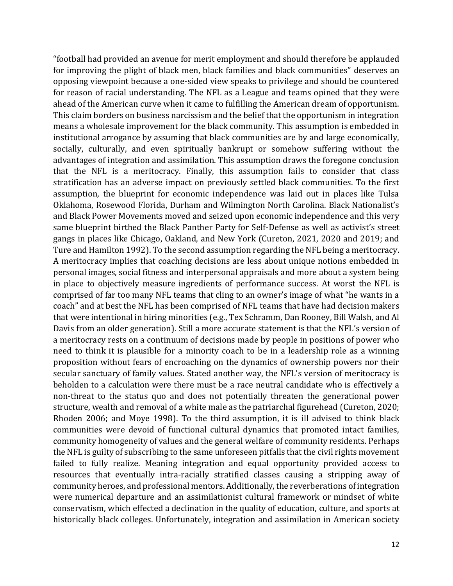"football had provided an avenue for merit employment and should therefore be applauded for improving the plight of black men, black families and black communities" deserves an opposing viewpoint because a one-sided view speaks to privilege and should be countered for reason of racial understanding. The NFL as a League and teams opined that they were ahead of the American curve when it came to fulfilling the American dream of opportunism. This claim borders on business narcissism and the belief that the opportunism in integration means a wholesale improvement for the black community. This assumption is embedded in institutional arrogance by assuming that black communities are by and large economically, socially, culturally, and even spiritually bankrupt or somehow suffering without the advantages of integration and assimilation. This assumption draws the foregone conclusion that the NFL is a meritocracy. Finally, this assumption fails to consider that class stratification has an adverse impact on previously settled black communities. To the first assumption, the blueprint for economic independence was laid out in places like Tulsa Oklahoma, Rosewood Florida, Durham and Wilmington North Carolina. Black Nationalist's and Black Power Movements moved and seized upon economic independence and this very same blueprint birthed the Black Panther Party for Self-Defense as well as activist's street gangs in places like Chicago, Oakland, and New York (Cureton, 2021, 2020 and 2019; and Ture and Hamilton 1992). To the second assumption regarding the NFL being a meritocracy. A meritocracy implies that coaching decisions are less about unique notions embedded in personal images, social fitness and interpersonal appraisals and more about a system being in place to objectively measure ingredients of performance success. At worst the NFL is comprised of far too many NFL teams that cling to an owner's image of what "he wants in a coach" and at best the NFL has been comprised of NFL teams that have had decision makers that were intentional in hiring minorities (e.g., Tex Schramm, Dan Rooney, Bill Walsh, and Al Davis from an older generation). Still a more accurate statement is that the NFL's version of a meritocracy rests on a continuum of decisions made by people in positions of power who need to think it is plausible for a minority coach to be in a leadership role as a winning proposition without fears of encroaching on the dynamics of ownership powers nor their secular sanctuary of family values. Stated another way, the NFL's version of meritocracy is beholden to a calculation were there must be a race neutral candidate who is effectively a non-threat to the status quo and does not potentially threaten the generational power structure, wealth and removal of a white male as the patriarchal figurehead (Cureton, 2020; Rhoden 2006; and Moye 1998). To the third assumption, it is ill advised to think black communities were devoid of functional cultural dynamics that promoted intact families, community homogeneity of values and the general welfare of community residents. Perhaps the NFL is guilty of subscribing to the same unforeseen pitfalls that the civil rights movement failed to fully realize. Meaning integration and equal opportunity provided access to resources that eventually intra-racially stratified classes causing a stripping away of community heroes, and professional mentors. Additionally, the reverberations of integration were numerical departure and an assimilationist cultural framework or mindset of white conservatism, which effected a declination in the quality of education, culture, and sports at historically black colleges. Unfortunately, integration and assimilation in American society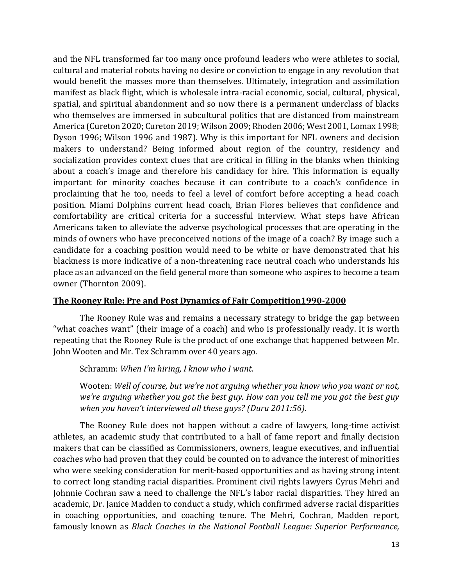and the NFL transformed far too many once profound leaders who were athletes to social, cultural and material robots having no desire or conviction to engage in any revolution that would benefit the masses more than themselves. Ultimately, integration and assimilation manifest as black flight, which is wholesale intra-racial economic, social, cultural, physical, spatial, and spiritual abandonment and so now there is a permanent underclass of blacks who themselves are immersed in subcultural politics that are distanced from mainstream America (Cureton 2020; Cureton 2019; Wilson 2009; Rhoden 2006; West 2001, Lomax 1998; Dyson 1996; Wilson 1996 and 1987). Why is this important for NFL owners and decision makers to understand? Being informed about region of the country, residency and socialization provides context clues that are critical in filling in the blanks when thinking about a coach's image and therefore his candidacy for hire. This information is equally important for minority coaches because it can contribute to a coach's confidence in proclaiming that he too, needs to feel a level of comfort before accepting a head coach position. Miami Dolphins current head coach, Brian Flores believes that confidence and comfortability are critical criteria for a successful interview. What steps have African Americans taken to alleviate the adverse psychological processes that are operating in the minds of owners who have preconceived notions of the image of a coach? By image such a candidate for a coaching position would need to be white or have demonstrated that his blackness is more indicative of a non-threatening race neutral coach who understands his place as an advanced on the field general more than someone who aspires to become a team owner (Thornton 2009).

# **The Rooney Rule: Pre and Post Dynamics of Fair Competition1990-2000**

The Rooney Rule was and remains a necessary strategy to bridge the gap between "what coaches want" (their image of a coach) and who is professionally ready. It is worth repeating that the Rooney Rule is the product of one exchange that happened between Mr. John Wooten and Mr. Tex Schramm over 40 years ago.

Schramm: *When I'm hiring, I know who I want.*

Wooten: *Well of course, but we're not arguing whether you know who you want or not, we're arguing whether you got the best guy. How can you tell me you got the best guy when you haven't interviewed all these guys? (Duru 2011:56).*

The Rooney Rule does not happen without a cadre of lawyers, long-time activist athletes, an academic study that contributed to a hall of fame report and finally decision makers that can be classified as Commissioners, owners, league executives, and influential coaches who had proven that they could be counted on to advance the interest of minorities who were seeking consideration for merit-based opportunities and as having strong intent to correct long standing racial disparities. Prominent civil rights lawyers Cyrus Mehri and Johnnie Cochran saw a need to challenge the NFL's labor racial disparities. They hired an academic, Dr. Janice Madden to conduct a study, which confirmed adverse racial disparities in coaching opportunities, and coaching tenure. The Mehri, Cochran, Madden report, famously known as *Black Coaches in the National Football League: Superior Performance,*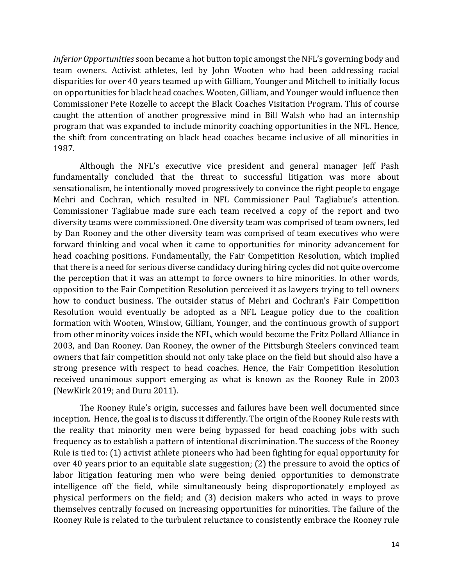*Inferior Opportunities* soon became a hot button topic amongst the NFL's governing body and team owners. Activist athletes, led by John Wooten who had been addressing racial disparities for over 40 years teamed up with Gilliam, Younger and Mitchell to initially focus on opportunities for black head coaches. Wooten, Gilliam, and Younger would influence then Commissioner Pete Rozelle to accept the Black Coaches Visitation Program. This of course caught the attention of another progressive mind in Bill Walsh who had an internship program that was expanded to include minority coaching opportunities in the NFL. Hence, the shift from concentrating on black head coaches became inclusive of all minorities in 1987.

Although the NFL's executive vice president and general manager Jeff Pash fundamentally concluded that the threat to successful litigation was more about sensationalism, he intentionally moved progressively to convince the right people to engage Mehri and Cochran, which resulted in NFL Commissioner Paul Tagliabue's attention. Commissioner Tagliabue made sure each team received a copy of the report and two diversity teams were commissioned. One diversity team was comprised of team owners, led by Dan Rooney and the other diversity team was comprised of team executives who were forward thinking and vocal when it came to opportunities for minority advancement for head coaching positions. Fundamentally, the Fair Competition Resolution, which implied that there is a need for serious diverse candidacy during hiring cycles did not quite overcome the perception that it was an attempt to force owners to hire minorities. In other words, opposition to the Fair Competition Resolution perceived it as lawyers trying to tell owners how to conduct business. The outsider status of Mehri and Cochran's Fair Competition Resolution would eventually be adopted as a NFL League policy due to the coalition formation with Wooten, Winslow, Gilliam, Younger, and the continuous growth of support from other minority voices inside the NFL, which would become the Fritz Pollard Alliance in 2003, and Dan Rooney. Dan Rooney, the owner of the Pittsburgh Steelers convinced team owners that fair competition should not only take place on the field but should also have a strong presence with respect to head coaches. Hence, the Fair Competition Resolution received unanimous support emerging as what is known as the Rooney Rule in 2003 (NewKirk 2019; and Duru 2011).

The Rooney Rule's origin, successes and failures have been well documented since inception. Hence, the goal is to discuss it differently. The origin of the Rooney Rule rests with the reality that minority men were being bypassed for head coaching jobs with such frequency as to establish a pattern of intentional discrimination. The success of the Rooney Rule is tied to: (1) activist athlete pioneers who had been fighting for equal opportunity for over 40 years prior to an equitable slate suggestion; (2) the pressure to avoid the optics of labor litigation featuring men who were being denied opportunities to demonstrate intelligence off the field, while simultaneously being disproportionately employed as physical performers on the field; and (3) decision makers who acted in ways to prove themselves centrally focused on increasing opportunities for minorities. The failure of the Rooney Rule is related to the turbulent reluctance to consistently embrace the Rooney rule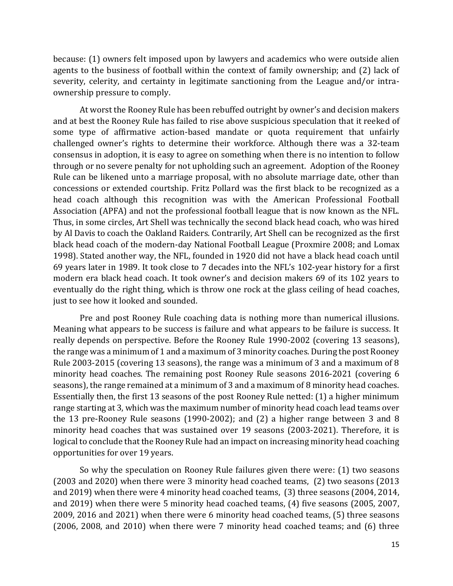because: (1) owners felt imposed upon by lawyers and academics who were outside alien agents to the business of football within the context of family ownership; and (2) lack of severity, celerity, and certainty in legitimate sanctioning from the League and/or intraownership pressure to comply.

At worst the Rooney Rule has been rebuffed outright by owner's and decision makers and at best the Rooney Rule has failed to rise above suspicious speculation that it reeked of some type of affirmative action-based mandate or quota requirement that unfairly challenged owner's rights to determine their workforce. Although there was a 32-team consensus in adoption, it is easy to agree on something when there is no intention to follow through or no severe penalty for not upholding such an agreement. Adoption of the Rooney Rule can be likened unto a marriage proposal, with no absolute marriage date, other than concessions or extended courtship. Fritz Pollard was the first black to be recognized as a head coach although this recognition was with the American Professional Football Association (APFA) and not the professional football league that is now known as the NFL. Thus, in some circles, Art Shell was technically the second black head coach, who was hired by Al Davis to coach the Oakland Raiders. Contrarily, Art Shell can be recognized as the first black head coach of the modern-day National Football League (Proxmire 2008; and Lomax 1998). Stated another way, the NFL, founded in 1920 did not have a black head coach until 69 years later in 1989. It took close to 7 decades into the NFL's 102-year history for a first modern era black head coach. It took owner's and decision makers 69 of its 102 years to eventually do the right thing, which is throw one rock at the glass ceiling of head coaches, just to see how it looked and sounded.

Pre and post Rooney Rule coaching data is nothing more than numerical illusions. Meaning what appears to be success is failure and what appears to be failure is success. It really depends on perspective. Before the Rooney Rule 1990-2002 (covering 13 seasons), the range was a minimum of 1 and a maximum of 3 minority coaches. During the post Rooney Rule 2003-2015 (covering 13 seasons), the range was a minimum of 3 and a maximum of 8 minority head coaches. The remaining post Rooney Rule seasons 2016-2021 (covering 6 seasons), the range remained at a minimum of 3 and a maximum of 8 minority head coaches. Essentially then, the first 13 seasons of the post Rooney Rule netted: (1) a higher minimum range starting at 3, which was the maximum number of minority head coach lead teams over the 13 pre-Rooney Rule seasons (1990-2002); and (2) a higher range between 3 and 8 minority head coaches that was sustained over 19 seasons (2003-2021). Therefore, it is logical to conclude that the Rooney Rule had an impact on increasing minority head coaching opportunities for over 19 years.

So why the speculation on Rooney Rule failures given there were: (1) two seasons (2003 and 2020) when there were 3 minority head coached teams, (2) two seasons (2013 and 2019) when there were 4 minority head coached teams, (3) three seasons (2004, 2014, and 2019) when there were 5 minority head coached teams, (4) five seasons (2005, 2007, 2009, 2016 and 2021) when there were 6 minority head coached teams, (5) three seasons (2006, 2008, and 2010) when there were 7 minority head coached teams; and (6) three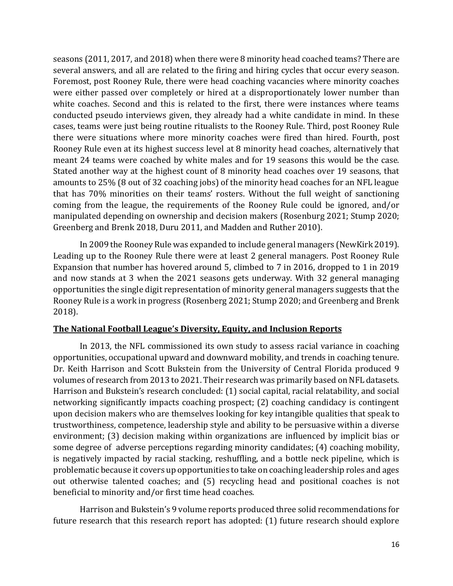seasons (2011, 2017, and 2018) when there were 8 minority head coached teams? There are several answers, and all are related to the firing and hiring cycles that occur every season. Foremost, post Rooney Rule, there were head coaching vacancies where minority coaches were either passed over completely or hired at a disproportionately lower number than white coaches. Second and this is related to the first, there were instances where teams conducted pseudo interviews given, they already had a white candidate in mind. In these cases, teams were just being routine ritualists to the Rooney Rule. Third, post Rooney Rule there were situations where more minority coaches were fired than hired. Fourth, post Rooney Rule even at its highest success level at 8 minority head coaches, alternatively that meant 24 teams were coached by white males and for 19 seasons this would be the case. Stated another way at the highest count of 8 minority head coaches over 19 seasons, that amounts to 25% (8 out of 32 coaching jobs) of the minority head coaches for an NFL league that has 70% minorities on their teams' rosters. Without the full weight of sanctioning coming from the league, the requirements of the Rooney Rule could be ignored, and/or manipulated depending on ownership and decision makers (Rosenburg 2021; Stump 2020; Greenberg and Brenk 2018, Duru 2011, and Madden and Ruther 2010).

In 2009 the Rooney Rule was expanded to include general managers (NewKirk 2019). Leading up to the Rooney Rule there were at least 2 general managers. Post Rooney Rule Expansion that number has hovered around 5, climbed to 7 in 2016, dropped to 1 in 2019 and now stands at 3 when the 2021 seasons gets underway. With 32 general managing opportunities the single digit representation of minority general managers suggests that the Rooney Rule is a work in progress (Rosenberg 2021; Stump 2020; and Greenberg and Brenk 2018).

# **The National Football League's Diversity, Equity, and Inclusion Reports**

In 2013, the NFL commissioned its own study to assess racial variance in coaching opportunities, occupational upward and downward mobility, and trends in coaching tenure. Dr. Keith Harrison and Scott Bukstein from the University of Central Florida produced 9 volumes of research from 2013 to 2021. Their research was primarily based on NFL datasets. Harrison and Bukstein's research concluded: (1) social capital, racial relatability, and social networking significantly impacts coaching prospect; (2) coaching candidacy is contingent upon decision makers who are themselves looking for key intangible qualities that speak to trustworthiness, competence, leadership style and ability to be persuasive within a diverse environment; (3) decision making within organizations are influenced by implicit bias or some degree of adverse perceptions regarding minority candidates; (4) coaching mobility, is negatively impacted by racial stacking, reshuffling, and a bottle neck pipeline, which is problematic because it covers up opportunities to take on coaching leadership roles and ages out otherwise talented coaches; and (5) recycling head and positional coaches is not beneficial to minority and/or first time head coaches.

Harrison and Bukstein's 9 volume reports produced three solid recommendations for future research that this research report has adopted: (1) future research should explore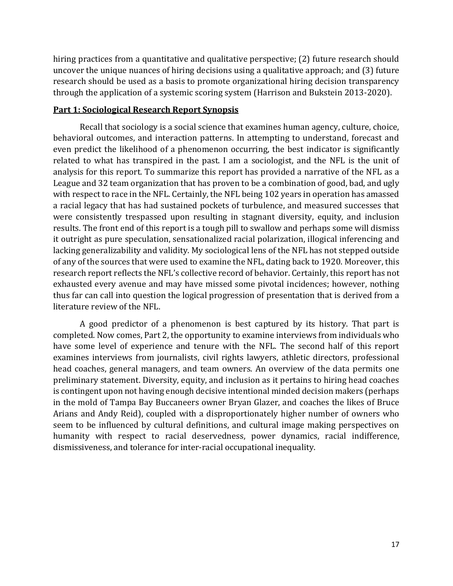hiring practices from a quantitative and qualitative perspective; (2) future research should uncover the unique nuances of hiring decisions using a qualitative approach; and (3) future research should be used as a basis to promote organizational hiring decision transparency through the application of a systemic scoring system (Harrison and Bukstein 2013-2020).

### **Part 1: Sociological Research Report Synopsis**

Recall that sociology is a social science that examines human agency, culture, choice, behavioral outcomes, and interaction patterns. In attempting to understand, forecast and even predict the likelihood of a phenomenon occurring, the best indicator is significantly related to what has transpired in the past. I am a sociologist, and the NFL is the unit of analysis for this report. To summarize this report has provided a narrative of the NFL as a League and 32 team organization that has proven to be a combination of good, bad, and ugly with respect to race in the NFL. Certainly, the NFL being 102 years in operation has amassed a racial legacy that has had sustained pockets of turbulence, and measured successes that were consistently trespassed upon resulting in stagnant diversity, equity, and inclusion results. The front end of this report is a tough pill to swallow and perhaps some will dismiss it outright as pure speculation, sensationalized racial polarization, illogical inferencing and lacking generalizability and validity. My sociological lens of the NFL has not stepped outside of any of the sources that were used to examine the NFL, dating back to 1920. Moreover, this research report reflects the NFL's collective record of behavior. Certainly, this report has not exhausted every avenue and may have missed some pivotal incidences; however, nothing thus far can call into question the logical progression of presentation that is derived from a literature review of the NFL.

A good predictor of a phenomenon is best captured by its history. That part is completed. Now comes, Part 2, the opportunity to examine interviews from individuals who have some level of experience and tenure with the NFL. The second half of this report examines interviews from journalists, civil rights lawyers, athletic directors, professional head coaches, general managers, and team owners. An overview of the data permits one preliminary statement. Diversity, equity, and inclusion as it pertains to hiring head coaches is contingent upon not having enough decisive intentional minded decision makers (perhaps in the mold of Tampa Bay Buccaneers owner Bryan Glazer, and coaches the likes of Bruce Arians and Andy Reid), coupled with a disproportionately higher number of owners who seem to be influenced by cultural definitions, and cultural image making perspectives on humanity with respect to racial deservedness, power dynamics, racial indifference, dismissiveness, and tolerance for inter-racial occupational inequality.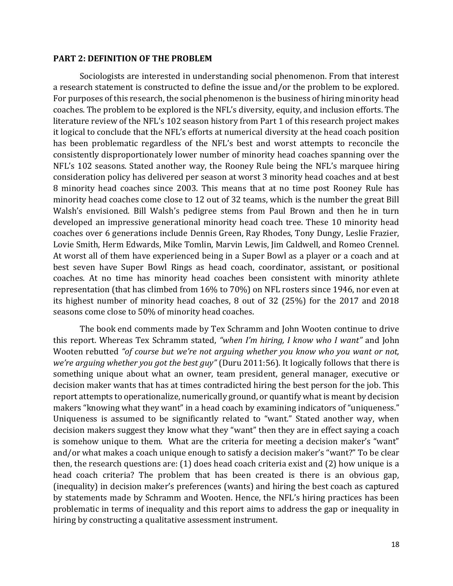#### **PART 2: DEFINITION OF THE PROBLEM**

Sociologists are interested in understanding social phenomenon. From that interest a research statement is constructed to define the issue and/or the problem to be explored. For purposes of this research, the social phenomenon is the business of hiring minority head coaches. The problem to be explored is the NFL's diversity, equity, and inclusion efforts. The literature review of the NFL's 102 season history from Part 1 of this research project makes it logical to conclude that the NFL's efforts at numerical diversity at the head coach position has been problematic regardless of the NFL's best and worst attempts to reconcile the consistently disproportionately lower number of minority head coaches spanning over the NFL's 102 seasons. Stated another way, the Rooney Rule being the NFL's marquee hiring consideration policy has delivered per season at worst 3 minority head coaches and at best 8 minority head coaches since 2003. This means that at no time post Rooney Rule has minority head coaches come close to 12 out of 32 teams, which is the number the great Bill Walsh's envisioned. Bill Walsh's pedigree stems from Paul Brown and then he in turn developed an impressive generational minority head coach tree. These 10 minority head coaches over 6 generations include Dennis Green, Ray Rhodes, Tony Dungy, Leslie Frazier, Lovie Smith, Herm Edwards, Mike Tomlin, Marvin Lewis, Jim Caldwell, and Romeo Crennel. At worst all of them have experienced being in a Super Bowl as a player or a coach and at best seven have Super Bowl Rings as head coach, coordinator, assistant, or positional coaches. At no time has minority head coaches been consistent with minority athlete representation (that has climbed from 16% to 70%) on NFL rosters since 1946, nor even at its highest number of minority head coaches, 8 out of 32 (25%) for the 2017 and 2018 seasons come close to 50% of minority head coaches.

The book end comments made by Tex Schramm and John Wooten continue to drive this report. Whereas Tex Schramm stated, *"when I'm hiring, I know who I want"* and John Wooten rebutted *"of course but we're not arguing whether you know who you want or not, we're arguing whether you got the best guy"* (Duru 2011:56). It logically follows that there is something unique about what an owner, team president, general manager, executive or decision maker wants that has at times contradicted hiring the best person for the job. This report attempts to operationalize, numerically ground, or quantify what is meant by decision makers "knowing what they want" in a head coach by examining indicators of "uniqueness." Uniqueness is assumed to be significantly related to "want." Stated another way, when decision makers suggest they know what they "want" then they are in effect saying a coach is somehow unique to them. What are the criteria for meeting a decision maker's "want" and/or what makes a coach unique enough to satisfy a decision maker's "want?" To be clear then, the research questions are: (1) does head coach criteria exist and (2) how unique is a head coach criteria? The problem that has been created is there is an obvious gap, (inequality) in decision maker's preferences (wants) and hiring the best coach as captured by statements made by Schramm and Wooten. Hence, the NFL's hiring practices has been problematic in terms of inequality and this report aims to address the gap or inequality in hiring by constructing a qualitative assessment instrument.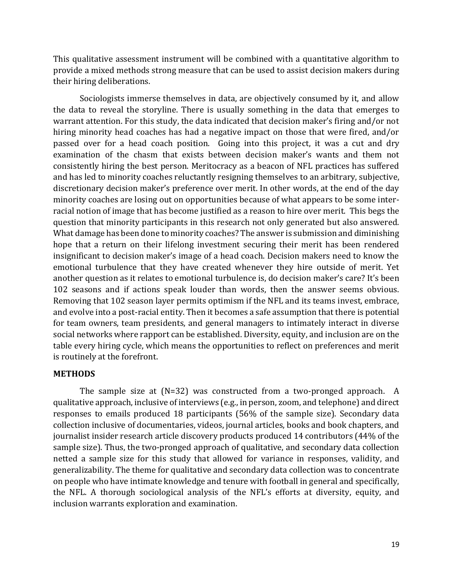This qualitative assessment instrument will be combined with a quantitative algorithm to provide a mixed methods strong measure that can be used to assist decision makers during their hiring deliberations.

Sociologists immerse themselves in data, are objectively consumed by it, and allow the data to reveal the storyline. There is usually something in the data that emerges to warrant attention. For this study, the data indicated that decision maker's firing and/or not hiring minority head coaches has had a negative impact on those that were fired, and/or passed over for a head coach position. Going into this project, it was a cut and dry examination of the chasm that exists between decision maker's wants and them not consistently hiring the best person. Meritocracy as a beacon of NFL practices has suffered and has led to minority coaches reluctantly resigning themselves to an arbitrary, subjective, discretionary decision maker's preference over merit. In other words, at the end of the day minority coaches are losing out on opportunities because of what appears to be some interracial notion of image that has become justified as a reason to hire over merit. This begs the question that minority participants in this research not only generated but also answered. What damage has been done to minority coaches? The answer is submission and diminishing hope that a return on their lifelong investment securing their merit has been rendered insignificant to decision maker's image of a head coach. Decision makers need to know the emotional turbulence that they have created whenever they hire outside of merit. Yet another question as it relates to emotional turbulence is, do decision maker's care? It's been 102 seasons and if actions speak louder than words, then the answer seems obvious. Removing that 102 season layer permits optimism if the NFL and its teams invest, embrace, and evolve into a post-racial entity. Then it becomes a safe assumption that there is potential for team owners, team presidents, and general managers to intimately interact in diverse social networks where rapport can be established. Diversity, equity, and inclusion are on the table every hiring cycle, which means the opportunities to reflect on preferences and merit is routinely at the forefront.

# **METHODS**

The sample size at  $(N=32)$  was constructed from a two-pronged approach. A qualitative approach, inclusive of interviews (e.g., in person, zoom, and telephone) and direct responses to emails produced 18 participants (56% of the sample size). Secondary data collection inclusive of documentaries, videos, journal articles, books and book chapters, and journalist insider research article discovery products produced 14 contributors (44% of the sample size). Thus, the two-pronged approach of qualitative, and secondary data collection netted a sample size for this study that allowed for variance in responses, validity, and generalizability. The theme for qualitative and secondary data collection was to concentrate on people who have intimate knowledge and tenure with football in general and specifically, the NFL. A thorough sociological analysis of the NFL's efforts at diversity, equity, and inclusion warrants exploration and examination.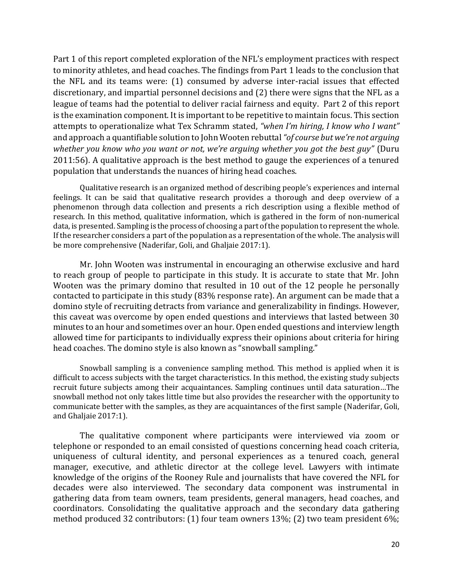Part 1 of this report completed exploration of the NFL's employment practices with respect to minority athletes, and head coaches. The findings from Part 1 leads to the conclusion that the NFL and its teams were: (1) consumed by adverse inter-racial issues that effected discretionary, and impartial personnel decisions and (2) there were signs that the NFL as a league of teams had the potential to deliver racial fairness and equity. Part 2 of this report is the examination component. It is important to be repetitive to maintain focus. This section attempts to operationalize what Tex Schramm stated, *"when I'm hiring, I know who I want"*  and approach a quantifiable solution to John Wooten rebuttal *"of course but we're not arguing whether you know who you want or not, we're arguing whether you got the best guy"* (Duru 2011:56). A qualitative approach is the best method to gauge the experiences of a tenured population that understands the nuances of hiring head coaches.

Qualitative research is an organized method of describing people's experiences and internal feelings. It can be said that qualitative research provides a thorough and deep overview of a phenomenon through data collection and presents a rich description using a flexible method of research. In this method, qualitative information, which is gathered in the form of non-numerical data, is presented. Sampling is the process of choosing a part of the population to represent the whole. If the researcher considers a part of the population as a representation of the whole. The analysis will be more comprehensive (Naderifar, Goli, and Ghaljaie 2017:1).

Mr. John Wooten was instrumental in encouraging an otherwise exclusive and hard to reach group of people to participate in this study. It is accurate to state that Mr. John Wooten was the primary domino that resulted in 10 out of the 12 people he personally contacted to participate in this study (83% response rate). An argument can be made that a domino style of recruiting detracts from variance and generalizability in findings. However, this caveat was overcome by open ended questions and interviews that lasted between 30 minutes to an hour and sometimes over an hour. Open ended questions and interview length allowed time for participants to individually express their opinions about criteria for hiring head coaches. The domino style is also known as "snowball sampling."

Snowball sampling is a convenience sampling method. This method is applied when it is difficult to access subjects with the target characteristics. In this method, the existing study subjects recruit future subjects among their acquaintances. Sampling continues until data saturation…The snowball method not only takes little time but also provides the researcher with the opportunity to communicate better with the samples, as they are acquaintances of the first sample (Naderifar, Goli, and Ghaljaie 2017:1).

The qualitative component where participants were interviewed via zoom or telephone or responded to an email consisted of questions concerning head coach criteria, uniqueness of cultural identity, and personal experiences as a tenured coach, general manager, executive, and athletic director at the college level. Lawyers with intimate knowledge of the origins of the Rooney Rule and journalists that have covered the NFL for decades were also interviewed. The secondary data component was instrumental in gathering data from team owners, team presidents, general managers, head coaches, and coordinators. Consolidating the qualitative approach and the secondary data gathering method produced 32 contributors: (1) four team owners 13%; (2) two team president 6%;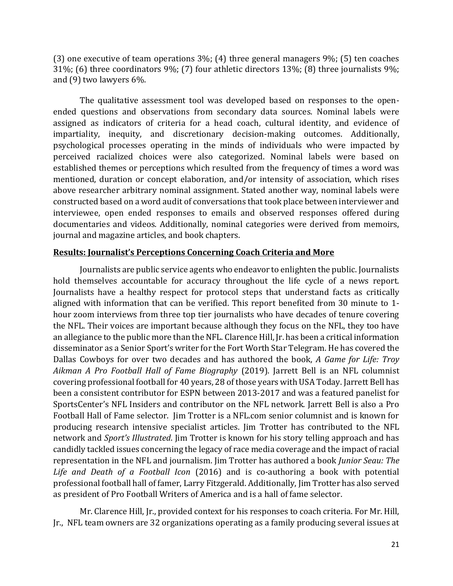(3) one executive of team operations 3%; (4) three general managers 9%; (5) ten coaches 31%; (6) three coordinators 9%; (7) four athletic directors 13%; (8) three journalists 9%; and (9) two lawyers 6%.

The qualitative assessment tool was developed based on responses to the openended questions and observations from secondary data sources. Nominal labels were assigned as indicators of criteria for a head coach, cultural identity, and evidence of impartiality, inequity, and discretionary decision-making outcomes. Additionally, psychological processes operating in the minds of individuals who were impacted by perceived racialized choices were also categorized. Nominal labels were based on established themes or perceptions which resulted from the frequency of times a word was mentioned, duration or concept elaboration, and/or intensity of association, which rises above researcher arbitrary nominal assignment. Stated another way, nominal labels were constructed based on a word audit of conversations that took place between interviewer and interviewee, open ended responses to emails and observed responses offered during documentaries and videos. Additionally, nominal categories were derived from memoirs, journal and magazine articles, and book chapters.

### **Results: Journalist's Perceptions Concerning Coach Criteria and More**

Journalists are public service agents who endeavor to enlighten the public. Journalists hold themselves accountable for accuracy throughout the life cycle of a news report. Journalists have a healthy respect for protocol steps that understand facts as critically aligned with information that can be verified. This report benefited from 30 minute to 1 hour zoom interviews from three top tier journalists who have decades of tenure covering the NFL. Their voices are important because although they focus on the NFL, they too have an allegiance to the public more than the NFL. Clarence Hill, Jr. has been a critical information disseminator as a Senior Sport's writer for the Fort Worth Star Telegram. He has covered the Dallas Cowboys for over two decades and has authored the book, *A Game for Life: Troy Aikman A Pro Football Hall of Fame Biography* (2019). Jarrett Bell is an NFL columnist covering professional football for 40 years, 28 of those years with USA Today. Jarrett Bell has been a consistent contributor for ESPN between 2013-2017 and was a featured panelist for SportsCenter's NFL Insiders and contributor on the NFL network. Jarrett Bell is also a Pro Football Hall of Fame selector. Jim Trotter is a NFL.com senior columnist and is known for producing research intensive specialist articles. Jim Trotter has contributed to the NFL network and *Sport's Illustrated*. Jim Trotter is known for his story telling approach and has candidly tackled issues concerning the legacy of race media coverage and the impact of racial representation in the NFL and journalism. Jim Trotter has authored a book *Junior Seau: The Life and Death of a Football Icon* (2016) and is co-authoring a book with potential professional football hall of famer, Larry Fitzgerald. Additionally, Jim Trotter has also served as president of Pro Football Writers of America and is a hall of fame selector.

Mr. Clarence Hill, Jr., provided context for his responses to coach criteria. For Mr. Hill, Jr., NFL team owners are 32 organizations operating as a family producing several issues at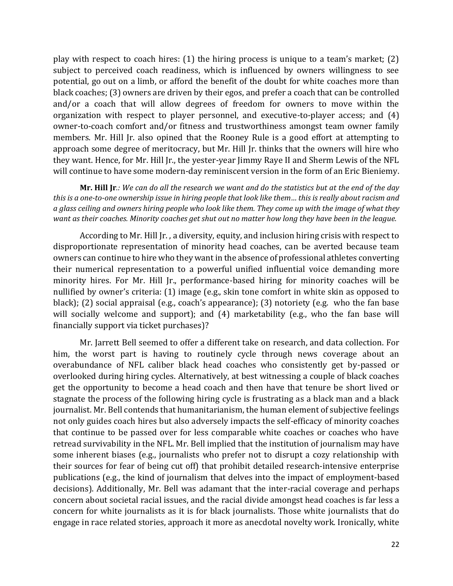play with respect to coach hires: (1) the hiring process is unique to a team's market; (2) subject to perceived coach readiness, which is influenced by owners willingness to see potential, go out on a limb, or afford the benefit of the doubt for white coaches more than black coaches; (3) owners are driven by their egos, and prefer a coach that can be controlled and/or a coach that will allow degrees of freedom for owners to move within the organization with respect to player personnel, and executive-to-player access; and (4) owner-to-coach comfort and/or fitness and trustworthiness amongst team owner family members. Mr. Hill Jr. also opined that the Rooney Rule is a good effort at attempting to approach some degree of meritocracy, but Mr. Hill Jr. thinks that the owners will hire who they want. Hence, for Mr. Hill Jr., the yester-year Jimmy Raye II and Sherm Lewis of the NFL will continue to have some modern-day reminiscent version in the form of an Eric Bieniemy.

**Mr. Hill Jr***.: We can do all the research we want and do the statistics but at the end of the day this is a one-to-one ownership issue in hiring people that look like them… this is really about racism and a glass ceiling and owners hiring people who look like them. They come up with the image of what they want as their coaches. Minority coaches get shut out no matter how long they have been in the league.*

According to Mr. Hill Jr. , a diversity, equity, and inclusion hiring crisis with respect to disproportionate representation of minority head coaches, can be averted because team owners can continue to hire who they want in the absence of professional athletes converting their numerical representation to a powerful unified influential voice demanding more minority hires. For Mr. Hill Jr., performance-based hiring for minority coaches will be nullified by owner's criteria: (1) image (e.g., skin tone comfort in white skin as opposed to black); (2) social appraisal (e.g., coach's appearance); (3) notoriety (e.g. who the fan base will socially welcome and support); and (4) marketability (e.g., who the fan base will financially support via ticket purchases)?

Mr. Jarrett Bell seemed to offer a different take on research, and data collection. For him, the worst part is having to routinely cycle through news coverage about an overabundance of NFL caliber black head coaches who consistently get by-passed or overlooked during hiring cycles. Alternatively, at best witnessing a couple of black coaches get the opportunity to become a head coach and then have that tenure be short lived or stagnate the process of the following hiring cycle is frustrating as a black man and a black journalist. Mr. Bell contends that humanitarianism, the human element of subjective feelings not only guides coach hires but also adversely impacts the self-efficacy of minority coaches that continue to be passed over for less comparable white coaches or coaches who have retread survivability in the NFL. Mr. Bell implied that the institution of journalism may have some inherent biases (e.g., journalists who prefer not to disrupt a cozy relationship with their sources for fear of being cut off) that prohibit detailed research-intensive enterprise publications (e.g., the kind of journalism that delves into the impact of employment-based decisions). Additionally, Mr. Bell was adamant that the inter-racial coverage and perhaps concern about societal racial issues, and the racial divide amongst head coaches is far less a concern for white journalists as it is for black journalists. Those white journalists that do engage in race related stories, approach it more as anecdotal novelty work. Ironically, white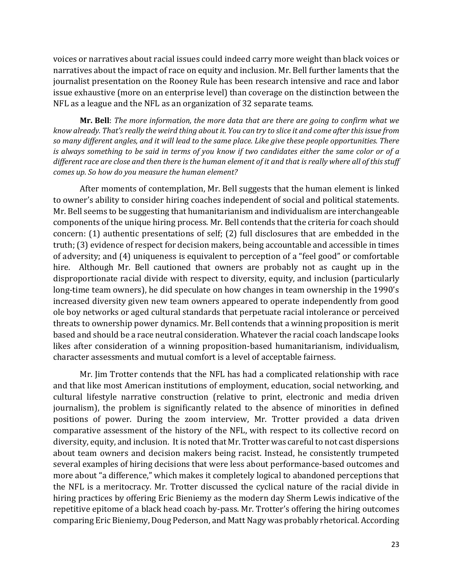voices or narratives about racial issues could indeed carry more weight than black voices or narratives about the impact of race on equity and inclusion. Mr. Bell further laments that the journalist presentation on the Rooney Rule has been research intensive and race and labor issue exhaustive (more on an enterprise level) than coverage on the distinction between the NFL as a league and the NFL as an organization of 32 separate teams.

**Mr. Bell**: *The more information, the more data that are there are going to confirm what we know already. That's really the weird thing about it. You can try to slice it and come after this issue from so many different angles, and it will lead to the same place. Like give these people opportunities. There is always something to be said in terms of you know if two candidates either the same color or of a different race are close and then there is the human element of it and that is really where all of this stuff comes up. So how do you measure the human element?*

After moments of contemplation, Mr. Bell suggests that the human element is linked to owner's ability to consider hiring coaches independent of social and political statements. Mr. Bell seems to be suggesting that humanitarianism and individualism are interchangeable components of the unique hiring process. Mr. Bell contends that the criteria for coach should concern: (1) authentic presentations of self; (2) full disclosures that are embedded in the truth; (3) evidence of respect for decision makers, being accountable and accessible in times of adversity; and (4) uniqueness is equivalent to perception of a "feel good" or comfortable hire. Although Mr. Bell cautioned that owners are probably not as caught up in the disproportionate racial divide with respect to diversity, equity, and inclusion (particularly long-time team owners), he did speculate on how changes in team ownership in the 1990's increased diversity given new team owners appeared to operate independently from good ole boy networks or aged cultural standards that perpetuate racial intolerance or perceived threats to ownership power dynamics. Mr. Bell contends that a winning proposition is merit based and should be a race neutral consideration. Whatever the racial coach landscape looks likes after consideration of a winning proposition-based humanitarianism, individualism, character assessments and mutual comfort is a level of acceptable fairness.

Mr. Jim Trotter contends that the NFL has had a complicated relationship with race and that like most American institutions of employment, education, social networking, and cultural lifestyle narrative construction (relative to print, electronic and media driven journalism), the problem is significantly related to the absence of minorities in defined positions of power. During the zoom interview, Mr. Trotter provided a data driven comparative assessment of the history of the NFL, with respect to its collective record on diversity, equity, and inclusion. It is noted that Mr. Trotter was careful to not cast dispersions about team owners and decision makers being racist. Instead, he consistently trumpeted several examples of hiring decisions that were less about performance-based outcomes and more about "a difference," which makes it completely logical to abandoned perceptions that the NFL is a meritocracy. Mr. Trotter discussed the cyclical nature of the racial divide in hiring practices by offering Eric Bieniemy as the modern day Sherm Lewis indicative of the repetitive epitome of a black head coach by-pass. Mr. Trotter's offering the hiring outcomes comparing Eric Bieniemy, Doug Pederson, and Matt Nagy was probably rhetorical. According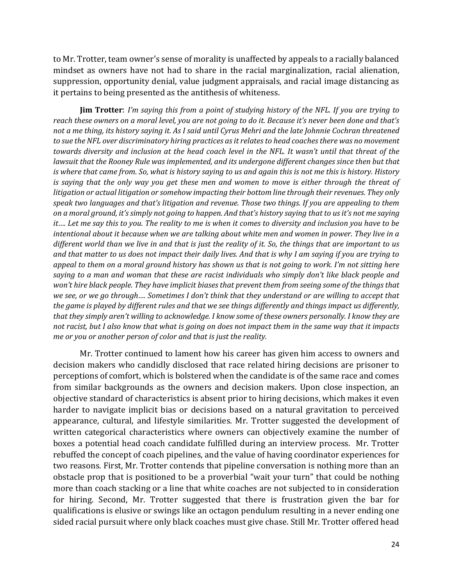to Mr. Trotter, team owner's sense of morality is unaffected by appeals to a racially balanced mindset as owners have not had to share in the racial marginalization, racial alienation, suppression, opportunity denial, value judgment appraisals, and racial image distancing as it pertains to being presented as the antithesis of whiteness.

**Jim Trotter**: *I'm saying this from a point of studying history of the NFL. If you are trying to reach these owners on a moral level, you are not going to do it. Because it's never been done and that's not a me thing, its history saying it. As I said until Cyrus Mehri and the late Johnnie Cochran threatened to sue the NFL over discriminatory hiring practices as it relates to head coaches there was no movement towards diversity and inclusion at the head coach level in the NFL. It wasn't until that threat of the*  lawsuit that the Rooney Rule was implemented, and its undergone different changes since then but that *is where that came from. So, what is history saying to us and again this is not me this is history. History is saying that the only way you get these men and women to move is either through the threat of litigation or actual litigation or somehow impacting their bottom line through their revenues. They only speak two languages and that's litigation and revenue. Those two things. If you are appealing to them on a moral ground, it's simply not going to happen. And that's history saying that to us it's not me saying it…. Let me say this to you. The reality to me is when it comes to diversity and inclusion you have to be intentional about it because when we are talking about white men and women in power. They live in a different world than we live in and that is just the reality of it. So, the things that are important to us and that matter to us does not impact their daily lives. And that is why I am saying if you are trying to appeal to them on a moral ground history has shown us that is not going to work. I'm not sitting here saying to a man and woman that these are racist individuals who simply don't like black people and won't hire black people. They have implicit biases that prevent them from seeing some of the things that we see, or we go through…. Sometimes I don't think that they understand or are willing to accept that the game is played by different rules and that we see things differently and things impact us differently, that they simply aren't willing to acknowledge. I know some of these owners personally. I know they are not racist, but I also know that what is going on does not impact them in the same way that it impacts me or you or another person of color and that is just the reality.* 

Mr. Trotter continued to lament how his career has given him access to owners and decision makers who candidly disclosed that race related hiring decisions are prisoner to perceptions of comfort, which is bolstered when the candidate is of the same race and comes from similar backgrounds as the owners and decision makers. Upon close inspection, an objective standard of characteristics is absent prior to hiring decisions, which makes it even harder to navigate implicit bias or decisions based on a natural gravitation to perceived appearance, cultural, and lifestyle similarities. Mr. Trotter suggested the development of written categorical characteristics where owners can objectively examine the number of boxes a potential head coach candidate fulfilled during an interview process. Mr. Trotter rebuffed the concept of coach pipelines, and the value of having coordinator experiences for two reasons. First, Mr. Trotter contends that pipeline conversation is nothing more than an obstacle prop that is positioned to be a proverbial "wait your turn" that could be nothing more than coach stacking or a line that white coaches are not subjected to in consideration for hiring. Second, Mr. Trotter suggested that there is frustration given the bar for qualifications is elusive or swings like an octagon pendulum resulting in a never ending one sided racial pursuit where only black coaches must give chase. Still Mr. Trotter offered head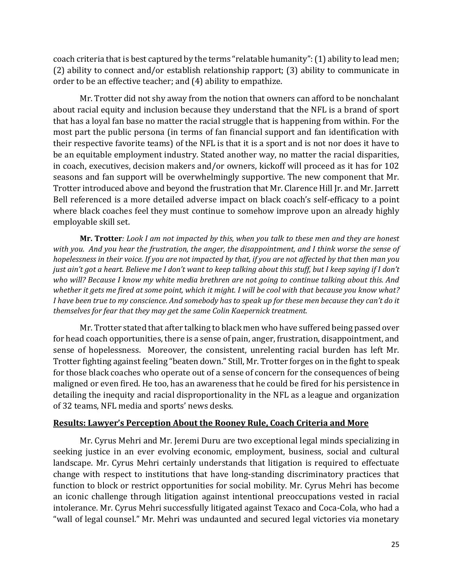coach criteria that is best captured by the terms "relatable humanity": (1) ability to lead men; (2) ability to connect and/or establish relationship rapport; (3) ability to communicate in order to be an effective teacher; and (4) ability to empathize.

Mr. Trotter did not shy away from the notion that owners can afford to be nonchalant about racial equity and inclusion because they understand that the NFL is a brand of sport that has a loyal fan base no matter the racial struggle that is happening from within. For the most part the public persona (in terms of fan financial support and fan identification with their respective favorite teams) of the NFL is that it is a sport and is not nor does it have to be an equitable employment industry. Stated another way, no matter the racial disparities, in coach, executives, decision makers and/or owners, kickoff will proceed as it has for 102 seasons and fan support will be overwhelmingly supportive. The new component that Mr. Trotter introduced above and beyond the frustration that Mr. Clarence Hill Jr. and Mr. Jarrett Bell referenced is a more detailed adverse impact on black coach's self-efficacy to a point where black coaches feel they must continue to somehow improve upon an already highly employable skill set.

**Mr. Trotter***: Look I am not impacted by this, when you talk to these men and they are honest with you. And you hear the frustration, the anger, the disappointment, and I think worse the sense of hopelessness in their voice. If you are not impacted by that, if you are not affected by that then man you just ain't got a heart. Believe me I don't want to keep talking about this stuff, but I keep saying if I don't who will? Because I know my white media brethren are not going to continue talking about this. And whether it gets me fired at some point, which it might. I will be cool with that because you know what? I have been true to my conscience. And somebody has to speak up for these men because they can't do it themselves for fear that they may get the same Colin Kaepernick treatment.* 

Mr. Trotter stated that after talking to black men who have suffered being passed over for head coach opportunities, there is a sense of pain, anger, frustration, disappointment, and sense of hopelessness. Moreover, the consistent, unrelenting racial burden has left Mr. Trotter fighting against feeling "beaten down." Still, Mr. Trotter forges on in the fight to speak for those black coaches who operate out of a sense of concern for the consequences of being maligned or even fired. He too, has an awareness that he could be fired for his persistence in detailing the inequity and racial disproportionality in the NFL as a league and organization of 32 teams, NFL media and sports' news desks.

### **Results: Lawyer's Perception About the Rooney Rule, Coach Criteria and More**

Mr. Cyrus Mehri and Mr. Jeremi Duru are two exceptional legal minds specializing in seeking justice in an ever evolving economic, employment, business, social and cultural landscape. Mr. Cyrus Mehri certainly understands that litigation is required to effectuate change with respect to institutions that have long-standing discriminatory practices that function to block or restrict opportunities for social mobility. Mr. Cyrus Mehri has become an iconic challenge through litigation against intentional preoccupations vested in racial intolerance. Mr. Cyrus Mehri successfully litigated against Texaco and Coca-Cola, who had a "wall of legal counsel." Mr. Mehri was undaunted and secured legal victories via monetary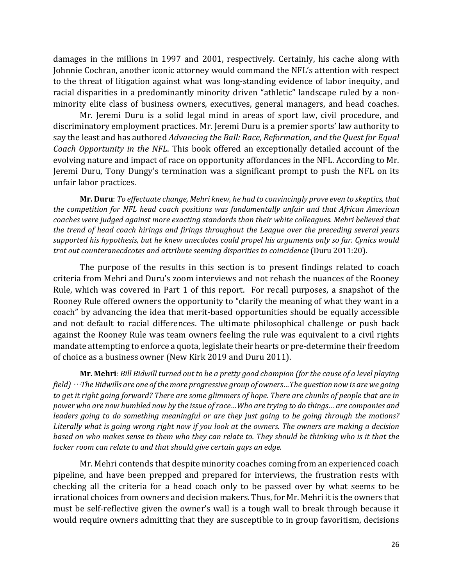damages in the millions in 1997 and 2001, respectively. Certainly, his cache along with Johnnie Cochran, another iconic attorney would command the NFL's attention with respect to the threat of litigation against what was long-standing evidence of labor inequity, and racial disparities in a predominantly minority driven "athletic" landscape ruled by a nonminority elite class of business owners, executives, general managers, and head coaches.

Mr. Jeremi Duru is a solid legal mind in areas of sport law, civil procedure, and discriminatory employment practices. Mr. Jeremi Duru is a premier sports' law authority to say the least and has authored *Advancing the Ball: Race, Reformation, and the Quest for Equal Coach Opportunity in the NFL*. This book offered an exceptionally detailed account of the evolving nature and impact of race on opportunity affordances in the NFL. According to Mr. Jeremi Duru, Tony Dungy's termination was a significant prompt to push the NFL on its unfair labor practices.

**Mr. Duru**: *To effectuate change, Mehri knew, he had to convincingly prove even to skeptics, that the competition for NFL head coach positions was fundamentally unfair and that African American coaches were judged against more exacting standards than their white colleagues. Mehri believed that the trend of head coach hirings and firings throughout the League over the preceding several years supported his hypothesis, but he knew anecdotes could propel his arguments only so far. Cynics would trot out counteranecdcotes and attribute seeming disparities to coincidence* (Duru 2011:20).

The purpose of the results in this section is to present findings related to coach criteria from Mehri and Duru's zoom interviews and not rehash the nuances of the Rooney Rule, which was covered in Part 1 of this report. For recall purposes, a snapshot of the Rooney Rule offered owners the opportunity to "clarify the meaning of what they want in a coach" by advancing the idea that merit-based opportunities should be equally accessible and not default to racial differences. The ultimate philosophical challenge or push back against the Rooney Rule was team owners feeling the rule was equivalent to a civil rights mandate attempting to enforce a quota, legislate their hearts or pre-determine their freedom of choice as a business owner (New Kirk 2019 and Duru 2011).

**Mr. Mehri***: Bill Bidwill turned out to be a pretty good champion (for the cause of a level playing field)* …*The Bidwills are one of the more progressive group of owners…The question now is are we going to get it right going forward? There are some glimmers of hope. There are chunks of people that are in power who are now humbled now by the issue of race…Who are trying to do things… are companies and leaders going to do something meaningful or are they just going to be going through the motions? Literally what is going wrong right now if you look at the owners. The owners are making a decision based on who makes sense to them who they can relate to. They should be thinking who is it that the locker room can relate to and that should give certain guys an edge.*

Mr. Mehri contends that despite minority coaches coming from an experienced coach pipeline, and have been prepped and prepared for interviews, the frustration rests with checking all the criteria for a head coach only to be passed over by what seems to be irrational choices from owners and decision makers. Thus, for Mr. Mehri it is the owners that must be self-reflective given the owner's wall is a tough wall to break through because it would require owners admitting that they are susceptible to in group favoritism, decisions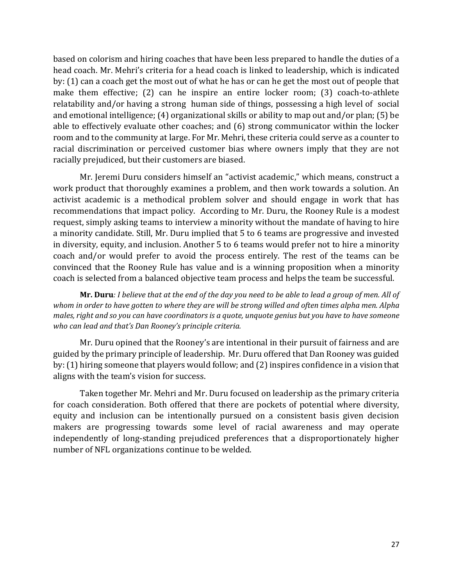based on colorism and hiring coaches that have been less prepared to handle the duties of a head coach. Mr. Mehri's criteria for a head coach is linked to leadership, which is indicated by: (1) can a coach get the most out of what he has or can he get the most out of people that make them effective; (2) can he inspire an entire locker room; (3) coach-to-athlete relatability and/or having a strong human side of things, possessing a high level of social and emotional intelligence; (4) organizational skills or ability to map out and/or plan; (5) be able to effectively evaluate other coaches; and (6) strong communicator within the locker room and to the community at large. For Mr. Mehri, these criteria could serve as a counter to racial discrimination or perceived customer bias where owners imply that they are not racially prejudiced, but their customers are biased.

Mr. Jeremi Duru considers himself an "activist academic," which means, construct a work product that thoroughly examines a problem, and then work towards a solution. An activist academic is a methodical problem solver and should engage in work that has recommendations that impact policy. According to Mr. Duru, the Rooney Rule is a modest request, simply asking teams to interview a minority without the mandate of having to hire a minority candidate. Still, Mr. Duru implied that 5 to 6 teams are progressive and invested in diversity, equity, and inclusion. Another 5 to 6 teams would prefer not to hire a minority coach and/or would prefer to avoid the process entirely. The rest of the teams can be convinced that the Rooney Rule has value and is a winning proposition when a minority coach is selected from a balanced objective team process and helps the team be successful.

**Mr. Duru***: I believe that at the end of the day you need to be able to lead a group of men. All of whom in order to have gotten to where they are will be strong willed and often times alpha men. Alpha males, right and so you can have coordinators is a quote, unquote genius but you have to have someone who can lead and that's Dan Rooney's principle criteria.*

Mr. Duru opined that the Rooney's are intentional in their pursuit of fairness and are guided by the primary principle of leadership. Mr. Duru offered that Dan Rooney was guided by: (1) hiring someone that players would follow; and (2) inspires confidence in a vision that aligns with the team's vision for success.

Taken together Mr. Mehri and Mr. Duru focused on leadership as the primary criteria for coach consideration. Both offered that there are pockets of potential where diversity, equity and inclusion can be intentionally pursued on a consistent basis given decision makers are progressing towards some level of racial awareness and may operate independently of long-standing prejudiced preferences that a disproportionately higher number of NFL organizations continue to be welded.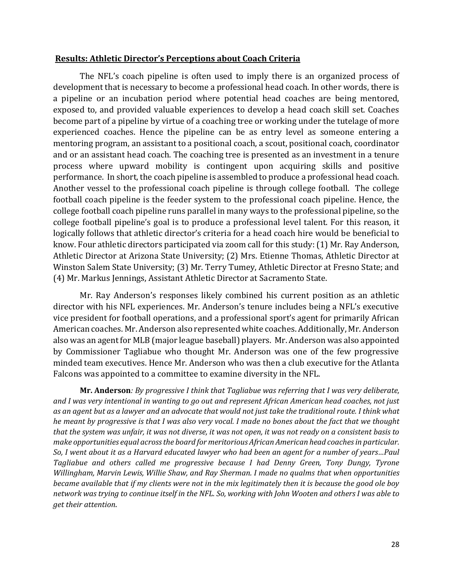#### **Results: Athletic Director's Perceptions about Coach Criteria**

The NFL's coach pipeline is often used to imply there is an organized process of development that is necessary to become a professional head coach. In other words, there is a pipeline or an incubation period where potential head coaches are being mentored, exposed to, and provided valuable experiences to develop a head coach skill set. Coaches become part of a pipeline by virtue of a coaching tree or working under the tutelage of more experienced coaches. Hence the pipeline can be as entry level as someone entering a mentoring program, an assistant to a positional coach, a scout, positional coach, coordinator and or an assistant head coach. The coaching tree is presented as an investment in a tenure process where upward mobility is contingent upon acquiring skills and positive performance. In short, the coach pipeline is assembled to produce a professional head coach. Another vessel to the professional coach pipeline is through college football. The college football coach pipeline is the feeder system to the professional coach pipeline. Hence, the college football coach pipeline runs parallel in many ways to the professional pipeline, so the college football pipeline's goal is to produce a professional level talent. For this reason, it logically follows that athletic director's criteria for a head coach hire would be beneficial to know. Four athletic directors participated via zoom call for this study: (1) Mr. Ray Anderson, Athletic Director at Arizona State University; (2) Mrs. Etienne Thomas, Athletic Director at Winston Salem State University; (3) Mr. Terry Tumey, Athletic Director at Fresno State; and (4) Mr. Markus Jennings, Assistant Athletic Director at Sacramento State.

Mr. Ray Anderson's responses likely combined his current position as an athletic director with his NFL experiences. Mr. Anderson's tenure includes being a NFL's executive vice president for football operations, and a professional sport's agent for primarily African American coaches. Mr. Anderson also represented white coaches. Additionally, Mr. Anderson also was an agent for MLB (major league baseball) players. Mr. Anderson was also appointed by Commissioner Tagliabue who thought Mr. Anderson was one of the few progressive minded team executives. Hence Mr. Anderson who was then a club executive for the Atlanta Falcons was appointed to a committee to examine diversity in the NFL.

**Mr. Anderson***: By progressive I think that Tagliabue was referring that I was very deliberate, and I was very intentional in wanting to go out and represent African American head coaches, not just as an agent but as a lawyer and an advocate that would not just take the traditional route. I think what he meant by progressive is that I was also very vocal. I made no bones about the fact that we thought that the system was unfair, it was not diverse, it was not open, it was not ready on a consistent basis to make opportunities equal across the board for meritorious African American head coaches in particular. So, I went about it as a Harvard educated lawyer who had been an agent for a number of years…Paul Tagliabue and others called me progressive because I had Denny Green, Tony Dungy, Tyrone Willingham, Marvin Lewis, Willie Shaw, and Ray Sherman. I made no qualms that when opportunities became available that if my clients were not in the mix legitimately then it is because the good ole boy network was trying to continue itself in the NFL. So, working with John Wooten and others I was able to get their attention*.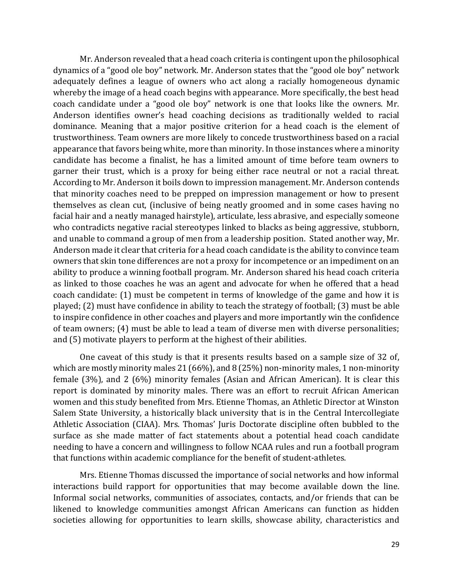Mr. Anderson revealed that a head coach criteria is contingent upon the philosophical dynamics of a "good ole boy" network. Mr. Anderson states that the "good ole boy" network adequately defines a league of owners who act along a racially homogeneous dynamic whereby the image of a head coach begins with appearance. More specifically, the best head coach candidate under a "good ole boy" network is one that looks like the owners. Mr. Anderson identifies owner's head coaching decisions as traditionally welded to racial dominance. Meaning that a major positive criterion for a head coach is the element of trustworthiness. Team owners are more likely to concede trustworthiness based on a racial appearance that favors being white, more than minority. In those instances where a minority candidate has become a finalist, he has a limited amount of time before team owners to garner their trust, which is a proxy for being either race neutral or not a racial threat. According to Mr. Anderson it boils down to impression management. Mr. Anderson contends that minority coaches need to be prepped on impression management or how to present themselves as clean cut, (inclusive of being neatly groomed and in some cases having no facial hair and a neatly managed hairstyle), articulate, less abrasive, and especially someone who contradicts negative racial stereotypes linked to blacks as being aggressive, stubborn, and unable to command a group of men from a leadership position. Stated another way, Mr. Anderson made it clear that criteria for a head coach candidate is the ability to convince team owners that skin tone differences are not a proxy for incompetence or an impediment on an ability to produce a winning football program. Mr. Anderson shared his head coach criteria as linked to those coaches he was an agent and advocate for when he offered that a head coach candidate: (1) must be competent in terms of knowledge of the game and how it is played; (2) must have confidence in ability to teach the strategy of football; (3) must be able to inspire confidence in other coaches and players and more importantly win the confidence of team owners; (4) must be able to lead a team of diverse men with diverse personalities; and (5) motivate players to perform at the highest of their abilities.

One caveat of this study is that it presents results based on a sample size of 32 of, which are mostly minority males 21 (66%), and 8 (25%) non-minority males, 1 non-minority female (3%), and 2 (6%) minority females (Asian and African American). It is clear this report is dominated by minority males. There was an effort to recruit African American women and this study benefited from Mrs. Etienne Thomas, an Athletic Director at Winston Salem State University, a historically black university that is in the Central Intercollegiate Athletic Association (CIAA). Mrs. Thomas' Juris Doctorate discipline often bubbled to the surface as she made matter of fact statements about a potential head coach candidate needing to have a concern and willingness to follow NCAA rules and run a football program that functions within academic compliance for the benefit of student-athletes.

Mrs. Etienne Thomas discussed the importance of social networks and how informal interactions build rapport for opportunities that may become available down the line. Informal social networks, communities of associates, contacts, and/or friends that can be likened to knowledge communities amongst African Americans can function as hidden societies allowing for opportunities to learn skills, showcase ability, characteristics and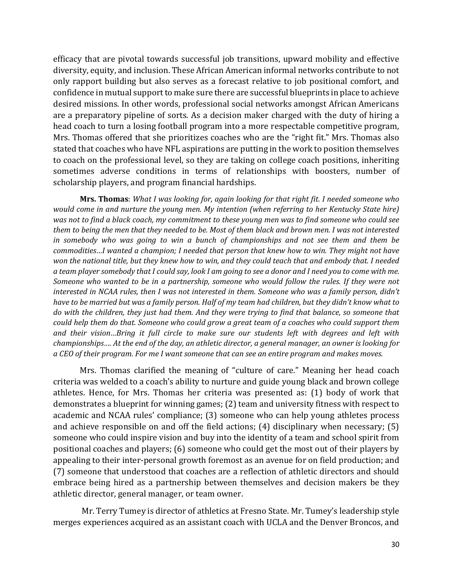efficacy that are pivotal towards successful job transitions, upward mobility and effective diversity, equity, and inclusion. These African American informal networks contribute to not only rapport building but also serves as a forecast relative to job positional comfort, and confidence in mutual support to make sure there are successful blueprints in place to achieve desired missions. In other words, professional social networks amongst African Americans are a preparatory pipeline of sorts. As a decision maker charged with the duty of hiring a head coach to turn a losing football program into a more respectable competitive program, Mrs. Thomas offered that she prioritizes coaches who are the "right fit." Mrs. Thomas also stated that coaches who have NFL aspirations are putting in the work to position themselves to coach on the professional level, so they are taking on college coach positions, inheriting sometimes adverse conditions in terms of relationships with boosters, number of scholarship players, and program financial hardships.

**Mrs. Thomas**: *What I was looking for, again looking for that right fit. I needed someone who would come in and nurture the young men. My intention (when referring to her Kentucky State hire) was not to find a black coach, my commitment to these young men was to find someone who could see them to being the men that they needed to be. Most of them black and brown men. I was not interested in somebody who was going to win a bunch of championships and not see them and them be commodities…I wanted a champion; I needed that person that knew how to win. They might not have won the national title, but they knew how to win, and they could teach that and embody that. I needed a team player somebody that I could say, look I am going to see a donor and I need you to come with me. Someone who wanted to be in a partnership, someone who would follow the rules. If they were not interested in NCAA rules, then I was not interested in them. Someone who was a family person, didn't have to be married but was a family person. Half of my team had children, but they didn't know what to do with the children, they just had them. And they were trying to find that balance, so someone that could help them do that. Someone who could grow a great team of a coaches who could support them and their vision…Bring it full circle to make sure our students left with degrees and left with championships…. At the end of the day, an athletic director, a general manager, an owner is looking for a CEO of their program. For me I want someone that can see an entire program and makes moves.*

Mrs. Thomas clarified the meaning of "culture of care." Meaning her head coach criteria was welded to a coach's ability to nurture and guide young black and brown college athletes. Hence, for Mrs. Thomas her criteria was presented as: (1) body of work that demonstrates a blueprint for winning games; (2) team and university fitness with respect to academic and NCAA rules' compliance; (3) someone who can help young athletes process and achieve responsible on and off the field actions; (4) disciplinary when necessary; (5) someone who could inspire vision and buy into the identity of a team and school spirit from positional coaches and players; (6) someone who could get the most out of their players by appealing to their inter-personal growth foremost as an avenue for on field production; and (7) someone that understood that coaches are a reflection of athletic directors and should embrace being hired as a partnership between themselves and decision makers be they athletic director, general manager, or team owner.

Mr. Terry Tumey is director of athletics at Fresno State. Mr. Tumey's leadership style merges experiences acquired as an assistant coach with UCLA and the Denver Broncos, and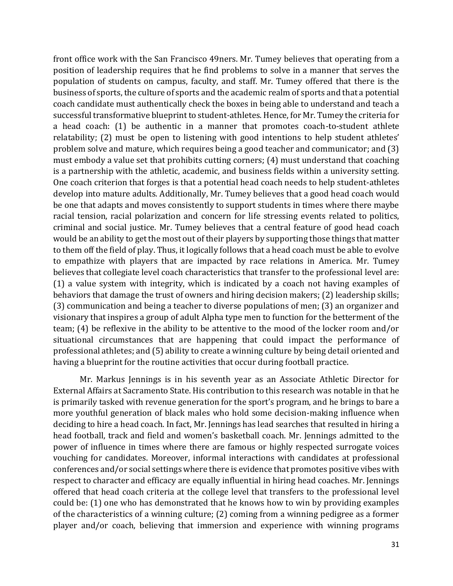front office work with the San Francisco 49ners. Mr. Tumey believes that operating from a position of leadership requires that he find problems to solve in a manner that serves the population of students on campus, faculty, and staff. Mr. Tumey offered that there is the business of sports, the culture of sports and the academic realm of sports and that a potential coach candidate must authentically check the boxes in being able to understand and teach a successful transformative blueprint to student-athletes. Hence, for Mr. Tumey the criteria for a head coach: (1) be authentic in a manner that promotes coach-to-student athlete relatability; (2) must be open to listening with good intentions to help student athletes' problem solve and mature, which requires being a good teacher and communicator; and (3) must embody a value set that prohibits cutting corners; (4) must understand that coaching is a partnership with the athletic, academic, and business fields within a university setting. One coach criterion that forges is that a potential head coach needs to help student-athletes develop into mature adults. Additionally, Mr. Tumey believes that a good head coach would be one that adapts and moves consistently to support students in times where there maybe racial tension, racial polarization and concern for life stressing events related to politics, criminal and social justice. Mr. Tumey believes that a central feature of good head coach would be an ability to get the most out of their players by supporting those things that matter to them off the field of play. Thus, it logically follows that a head coach must be able to evolve to empathize with players that are impacted by race relations in America. Mr. Tumey believes that collegiate level coach characteristics that transfer to the professional level are: (1) a value system with integrity, which is indicated by a coach not having examples of behaviors that damage the trust of owners and hiring decision makers; (2) leadership skills; (3) communication and being a teacher to diverse populations of men; (3) an organizer and visionary that inspires a group of adult Alpha type men to function for the betterment of the team; (4) be reflexive in the ability to be attentive to the mood of the locker room and/or situational circumstances that are happening that could impact the performance of professional athletes; and (5) ability to create a winning culture by being detail oriented and having a blueprint for the routine activities that occur during football practice.

Mr. Markus Jennings is in his seventh year as an Associate Athletic Director for External Affairs at Sacramento State. His contribution to this research was notable in that he is primarily tasked with revenue generation for the sport's program, and he brings to bare a more youthful generation of black males who hold some decision-making influence when deciding to hire a head coach. In fact, Mr. Jennings has lead searches that resulted in hiring a head football, track and field and women's basketball coach. Mr. Jennings admitted to the power of influence in times where there are famous or highly respected surrogate voices vouching for candidates. Moreover, informal interactions with candidates at professional conferences and/or social settings where there is evidence that promotes positive vibes with respect to character and efficacy are equally influential in hiring head coaches. Mr. Jennings offered that head coach criteria at the college level that transfers to the professional level could be: (1) one who has demonstrated that he knows how to win by providing examples of the characteristics of a winning culture; (2) coming from a winning pedigree as a former player and/or coach, believing that immersion and experience with winning programs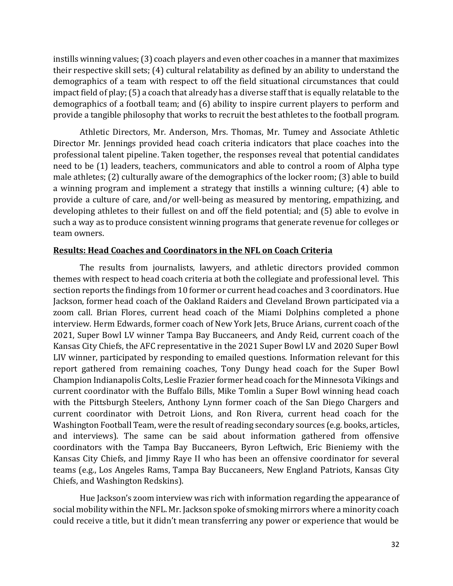instills winning values; (3) coach players and even other coaches in a manner that maximizes their respective skill sets; (4) cultural relatability as defined by an ability to understand the demographics of a team with respect to off the field situational circumstances that could impact field of play; (5) a coach that already has a diverse staff that is equally relatable to the demographics of a football team; and (6) ability to inspire current players to perform and provide a tangible philosophy that works to recruit the best athletes to the football program.

Athletic Directors, Mr. Anderson, Mrs. Thomas, Mr. Tumey and Associate Athletic Director Mr. Jennings provided head coach criteria indicators that place coaches into the professional talent pipeline. Taken together, the responses reveal that potential candidates need to be (1) leaders, teachers, communicators and able to control a room of Alpha type male athletes; (2) culturally aware of the demographics of the locker room; (3) able to build a winning program and implement a strategy that instills a winning culture; (4) able to provide a culture of care, and/or well-being as measured by mentoring, empathizing, and developing athletes to their fullest on and off the field potential; and (5) able to evolve in such a way as to produce consistent winning programs that generate revenue for colleges or team owners.

### **Results: Head Coaches and Coordinators in the NFL on Coach Criteria**

The results from journalists, lawyers, and athletic directors provided common themes with respect to head coach criteria at both the collegiate and professional level. This section reports the findings from 10 former or current head coaches and 3 coordinators. Hue Jackson, former head coach of the Oakland Raiders and Cleveland Brown participated via a zoom call. Brian Flores, current head coach of the Miami Dolphins completed a phone interview. Herm Edwards, former coach of New York Jets, Bruce Arians, current coach of the 2021, Super Bowl LV winner Tampa Bay Buccaneers, and Andy Reid, current coach of the Kansas City Chiefs, the AFC representative in the 2021 Super Bowl LV and 2020 Super Bowl LIV winner, participated by responding to emailed questions. Information relevant for this report gathered from remaining coaches, Tony Dungy head coach for the Super Bowl Champion Indianapolis Colts, Leslie Frazier former head coach for the Minnesota Vikings and current coordinator with the Buffalo Bills, Mike Tomlin a Super Bowl winning head coach with the Pittsburgh Steelers, Anthony Lynn former coach of the San Diego Chargers and current coordinator with Detroit Lions, and Ron Rivera, current head coach for the Washington Football Team, were the result of reading secondary sources (e.g. books, articles, and interviews). The same can be said about information gathered from offensive coordinators with the Tampa Bay Buccaneers, Byron Leftwich, Eric Bieniemy with the Kansas City Chiefs, and Jimmy Raye II who has been an offensive coordinator for several teams (e.g., Los Angeles Rams, Tampa Bay Buccaneers, New England Patriots, Kansas City Chiefs, and Washington Redskins).

Hue Jackson's zoom interview was rich with information regarding the appearance of social mobility within the NFL. Mr. Jackson spoke of smoking mirrors where a minority coach could receive a title, but it didn't mean transferring any power or experience that would be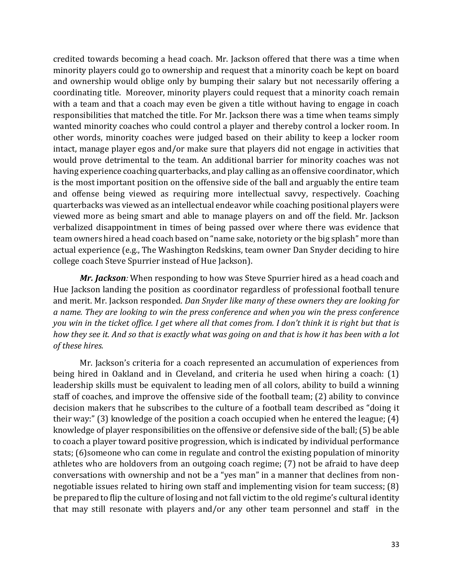credited towards becoming a head coach. Mr. Jackson offered that there was a time when minority players could go to ownership and request that a minority coach be kept on board and ownership would oblige only by bumping their salary but not necessarily offering a coordinating title. Moreover, minority players could request that a minority coach remain with a team and that a coach may even be given a title without having to engage in coach responsibilities that matched the title. For Mr. Jackson there was a time when teams simply wanted minority coaches who could control a player and thereby control a locker room. In other words, minority coaches were judged based on their ability to keep a locker room intact, manage player egos and/or make sure that players did not engage in activities that would prove detrimental to the team. An additional barrier for minority coaches was not having experience coaching quarterbacks, and play calling as an offensive coordinator, which is the most important position on the offensive side of the ball and arguably the entire team and offense being viewed as requiring more intellectual savvy, respectively. Coaching quarterbacks was viewed as an intellectual endeavor while coaching positional players were viewed more as being smart and able to manage players on and off the field. Mr. Jackson verbalized disappointment in times of being passed over where there was evidence that team owners hired a head coach based on "name sake, notoriety or the big splash" more than actual experience (e.g., The Washington Redskins, team owner Dan Snyder deciding to hire college coach Steve Spurrier instead of Hue Jackson).

*Mr. Jackson:* When responding to how was Steve Spurrier hired as a head coach and Hue Jackson landing the position as coordinator regardless of professional football tenure and merit. Mr. Jackson responded*. Dan Snyder like many of these owners they are looking for a name. They are looking to win the press conference and when you win the press conference you win in the ticket office. I get where all that comes from. I don't think it is right but that is how they see it. And so that is exactly what was going on and that is how it has been with a lot of these hires.*

Mr. Jackson's criteria for a coach represented an accumulation of experiences from being hired in Oakland and in Cleveland, and criteria he used when hiring a coach: (1) leadership skills must be equivalent to leading men of all colors, ability to build a winning staff of coaches, and improve the offensive side of the football team; (2) ability to convince decision makers that he subscribes to the culture of a football team described as "doing it their way:" (3) knowledge of the position a coach occupied when he entered the league; (4) knowledge of player responsibilities on the offensive or defensive side of the ball; (5) be able to coach a player toward positive progression, which is indicated by individual performance stats; (6)someone who can come in regulate and control the existing population of minority athletes who are holdovers from an outgoing coach regime; (7) not be afraid to have deep conversations with ownership and not be a "yes man" in a manner that declines from nonnegotiable issues related to hiring own staff and implementing vision for team success; (8) be prepared to flip the culture of losing and not fall victim to the old regime's cultural identity that may still resonate with players and/or any other team personnel and staff in the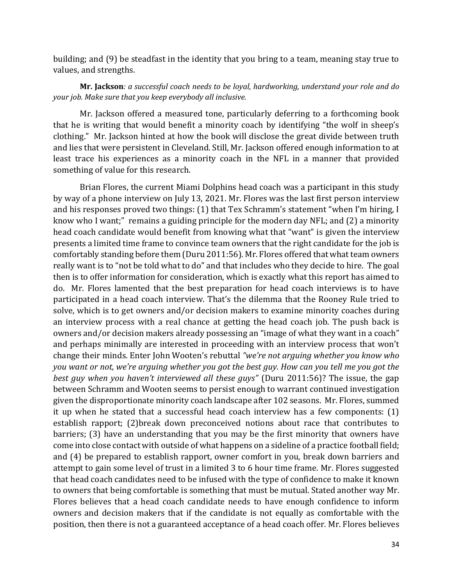building; and (9) be steadfast in the identity that you bring to a team, meaning stay true to values, and strengths.

# **Mr. Jackson***: a successful coach needs to be loyal, hardworking, understand your role and do your job. Make sure that you keep everybody all inclusive.*

Mr. Jackson offered a measured tone, particularly deferring to a forthcoming book that he is writing that would benefit a minority coach by identifying "the wolf in sheep's clothing." Mr. Jackson hinted at how the book will disclose the great divide between truth and lies that were persistent in Cleveland. Still, Mr. Jackson offered enough information to at least trace his experiences as a minority coach in the NFL in a manner that provided something of value for this research.

Brian Flores, the current Miami Dolphins head coach was a participant in this study by way of a phone interview on July 13, 2021. Mr. Flores was the last first person interview and his responses proved two things: (1) that Tex Schramm's statement "when I'm hiring, I know who I want;" remains a guiding principle for the modern day NFL; and (2) a minority head coach candidate would benefit from knowing what that "want" is given the interview presents a limited time frame to convince team owners that the right candidate for the job is comfortably standing before them (Duru 2011:56). Mr. Flores offered that what team owners really want is to "not be told what to do" and that includes who they decide to hire. The goal then is to offer information for consideration, which is exactly what this report has aimed to do. Mr. Flores lamented that the best preparation for head coach interviews is to have participated in a head coach interview. That's the dilemma that the Rooney Rule tried to solve, which is to get owners and/or decision makers to examine minority coaches during an interview process with a real chance at getting the head coach job. The push back is owners and/or decision makers already possessing an "image of what they want in a coach" and perhaps minimally are interested in proceeding with an interview process that won't change their minds. Enter John Wooten's rebuttal *"we're not arguing whether you know who you want or not, we're arguing whether you got the best guy. How can you tell me you got the best guy when you haven't interviewed all these guys"* (Duru 2011:56)? The issue, the gap between Schramm and Wooten seems to persist enough to warrant continued investigation given the disproportionate minority coach landscape after 102 seasons. Mr. Flores, summed it up when he stated that a successful head coach interview has a few components: (1) establish rapport; (2)break down preconceived notions about race that contributes to barriers; (3) have an understanding that you may be the first minority that owners have come into close contact with outside of what happens on a sideline of a practice football field; and (4) be prepared to establish rapport, owner comfort in you, break down barriers and attempt to gain some level of trust in a limited 3 to 6 hour time frame. Mr. Flores suggested that head coach candidates need to be infused with the type of confidence to make it known to owners that being comfortable is something that must be mutual. Stated another way Mr. Flores believes that a head coach candidate needs to have enough confidence to inform owners and decision makers that if the candidate is not equally as comfortable with the position, then there is not a guaranteed acceptance of a head coach offer. Mr. Flores believes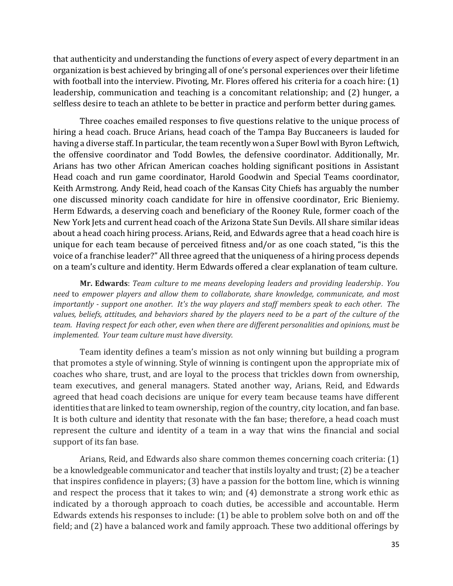that authenticity and understanding the functions of every aspect of every department in an organization is best achieved by bringing all of one's personal experiences over their lifetime with football into the interview. Pivoting, Mr. Flores offered his criteria for a coach hire: (1) leadership, communication and teaching is a concomitant relationship; and (2) hunger, a selfless desire to teach an athlete to be better in practice and perform better during games.

Three coaches emailed responses to five questions relative to the unique process of hiring a head coach. Bruce Arians, head coach of the Tampa Bay Buccaneers is lauded for having a diverse staff. In particular, the team recently won a Super Bowl with Byron Leftwich, the offensive coordinator and Todd Bowles, the defensive coordinator. Additionally, Mr. Arians has two other African American coaches holding significant positions in Assistant Head coach and run game coordinator, Harold Goodwin and Special Teams coordinator, Keith Armstrong. Andy Reid, head coach of the Kansas City Chiefs has arguably the number one discussed minority coach candidate for hire in offensive coordinator, Eric Bieniemy. Herm Edwards, a deserving coach and beneficiary of the Rooney Rule, former coach of the New York Jets and current head coach of the Arizona State Sun Devils. All share similar ideas about a head coach hiring process. Arians, Reid, and Edwards agree that a head coach hire is unique for each team because of perceived fitness and/or as one coach stated, "is this the voice of a franchise leader?" All three agreed that the uniqueness of a hiring process depends on a team's culture and identity. Herm Edwards offered a clear explanation of team culture.

**Mr. Edwards**: *Team culture to me means developing leaders and providing leadership*. *You need* to *empower players and allow them to collaborate, share knowledge, communicate, and most importantly - support one another. It's the way players and staff members speak to each other. The values, beliefs, attitudes, and behaviors shared by the players need to be a part of the culture of the team. Having respect for each other, even when there are different personalities and opinions, must be implemented. Your team culture must have diversity.*

Team identity defines a team's mission as not only winning but building a program that promotes a style of winning. Style of winning is contingent upon the appropriate mix of coaches who share, trust, and are loyal to the process that trickles down from ownership, team executives, and general managers. Stated another way, Arians, Reid, and Edwards agreed that head coach decisions are unique for every team because teams have different identities that are linked to team ownership, region of the country, city location, and fan base. It is both culture and identity that resonate with the fan base; therefore, a head coach must represent the culture and identity of a team in a way that wins the financial and social support of its fan base*.* 

Arians, Reid, and Edwards also share common themes concerning coach criteria: (1) be a knowledgeable communicator and teacher that instils loyalty and trust; (2) be a teacher that inspires confidence in players; (3) have a passion for the bottom line, which is winning and respect the process that it takes to win; and (4) demonstrate a strong work ethic as indicated by a thorough approach to coach duties, be accessible and accountable. Herm Edwards extends his responses to include: (1) be able to problem solve both on and off the field; and (2) have a balanced work and family approach. These two additional offerings by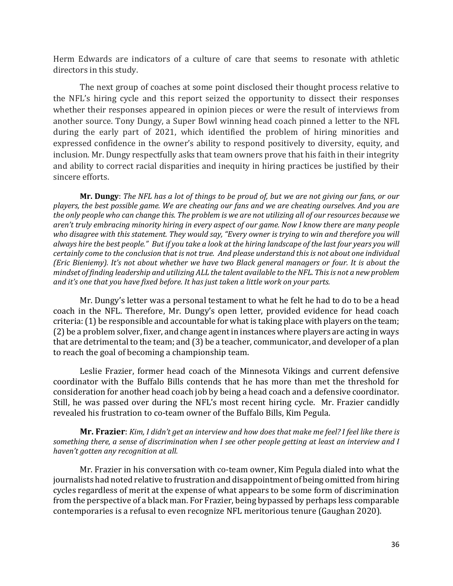Herm Edwards are indicators of a culture of care that seems to resonate with athletic directors in this study.

The next group of coaches at some point disclosed their thought process relative to the NFL's hiring cycle and this report seized the opportunity to dissect their responses whether their responses appeared in opinion pieces or were the result of interviews from another source. Tony Dungy, a Super Bowl winning head coach pinned a letter to the NFL during the early part of 2021, which identified the problem of hiring minorities and expressed confidence in the owner's ability to respond positively to diversity, equity, and inclusion. Mr. Dungy respectfully asks that team owners prove that his faith in their integrity and ability to correct racial disparities and inequity in hiring practices be justified by their sincere efforts.

**Mr. Dungy**: *The NFL has a lot of things to be proud of, but we are not giving our fans, or our players, the best possible game. We are cheating our fans and we are cheating ourselves. And you are the only people who can change this. The problem is we are not utilizing all of our resources because we aren't truly embracing minority hiring in every aspect of our game. Now I know there are many people who disagree with this statement. They would say, "Every owner is trying to win and therefore you will always hire the best people." But if you take a look at the hiring landscape of the last four years you will certainly come to the conclusion that is not true. And please understand this is not about one individual (Eric Bieniemy). It's not about whether we have two Black general managers or four. It is about the mindset of finding leadership and utilizing ALL the talent available to the NFL. This is not a new problem and it's one that you have fixed before. It has just taken a little work on your parts.*

Mr. Dungy's letter was a personal testament to what he felt he had to do to be a head coach in the NFL. Therefore, Mr. Dungy's open letter, provided evidence for head coach criteria: (1) be responsible and accountable for what is taking place with players on the team; (2) be a problem solver, fixer, and change agent in instances where players are acting in ways that are detrimental to the team; and (3) be a teacher, communicator, and developer of a plan to reach the goal of becoming a championship team.

Leslie Frazier, former head coach of the Minnesota Vikings and current defensive coordinator with the Buffalo Bills contends that he has more than met the threshold for consideration for another head coach job by being a head coach and a defensive coordinator. Still, he was passed over during the NFL's most recent hiring cycle. Mr. Frazier candidly revealed his frustration to co-team owner of the Buffalo Bills, Kim Pegula.

**Mr. Frazier**: *Kim, I didn't get an interview and how does that make me feel? I feel like there is something there, a sense of discrimination when I see other people getting at least an interview and I haven't gotten any recognition at all.*

Mr. Frazier in his conversation with co-team owner, Kim Pegula dialed into what the journalists had noted relative to frustration and disappointment of being omitted from hiring cycles regardless of merit at the expense of what appears to be some form of discrimination from the perspective of a black man. For Frazier, being bypassed by perhaps less comparable contemporaries is a refusal to even recognize NFL meritorious tenure (Gaughan 2020).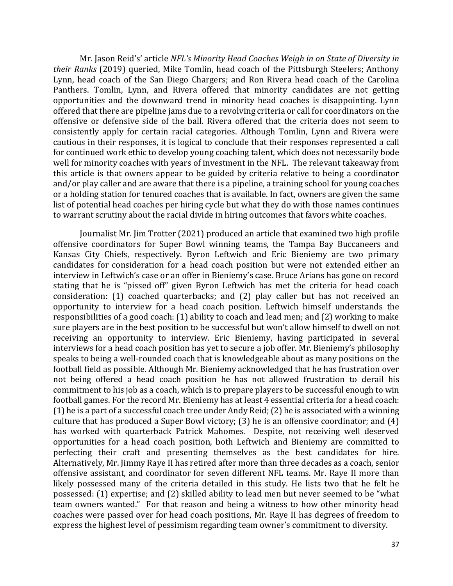Mr. Jason Reid's' article *NFL's Minority Head Coaches Weigh in on State of Diversity in their Ranks* (2019) queried, Mike Tomlin, head coach of the Pittsburgh Steelers; Anthony Lynn, head coach of the San Diego Chargers; and Ron Rivera head coach of the Carolina Panthers. Tomlin, Lynn, and Rivera offered that minority candidates are not getting opportunities and the downward trend in minority head coaches is disappointing. Lynn offered that there are pipeline jams due to a revolving criteria or call for coordinators on the offensive or defensive side of the ball. Rivera offered that the criteria does not seem to consistently apply for certain racial categories. Although Tomlin, Lynn and Rivera were cautious in their responses, it is logical to conclude that their responses represented a call for continued work ethic to develop young coaching talent, which does not necessarily bode well for minority coaches with years of investment in the NFL. The relevant takeaway from this article is that owners appear to be guided by criteria relative to being a coordinator and/or play caller and are aware that there is a pipeline, a training school for young coaches or a holding station for tenured coaches that is available. In fact, owners are given the same list of potential head coaches per hiring cycle but what they do with those names continues to warrant scrutiny about the racial divide in hiring outcomes that favors white coaches.

Journalist Mr. Jim Trotter (2021) produced an article that examined two high profile offensive coordinators for Super Bowl winning teams, the Tampa Bay Buccaneers and Kansas City Chiefs, respectively. Byron Leftwich and Eric Bieniemy are two primary candidates for consideration for a head coach position but were not extended either an interview in Leftwich's case or an offer in Bieniemy's case. Bruce Arians has gone on record stating that he is "pissed off" given Byron Leftwich has met the criteria for head coach consideration: (1) coached quarterbacks; and (2) play caller but has not received an opportunity to interview for a head coach position. Leftwich himself understands the responsibilities of a good coach: (1) ability to coach and lead men; and (2) working to make sure players are in the best position to be successful but won't allow himself to dwell on not receiving an opportunity to interview. Eric Bieniemy, having participated in several interviews for a head coach position has yet to secure a job offer. Mr. Bieniemy's philosophy speaks to being a well-rounded coach that is knowledgeable about as many positions on the football field as possible. Although Mr. Bieniemy acknowledged that he has frustration over not being offered a head coach position he has not allowed frustration to derail his commitment to his job as a coach, which is to prepare players to be successful enough to win football games. For the record Mr. Bieniemy has at least 4 essential criteria for a head coach: (1) he is a part of a successful coach tree under Andy Reid; (2) he is associated with a winning culture that has produced a Super Bowl victory; (3) he is an offensive coordinator; and (4) has worked with quarterback Patrick Mahomes. Despite, not receiving well deserved opportunities for a head coach position, both Leftwich and Bieniemy are committed to perfecting their craft and presenting themselves as the best candidates for hire. Alternatively, Mr. Jimmy Raye II has retired after more than three decades as a coach, senior offensive assistant, and coordinator for seven different NFL teams. Mr. Raye II more than likely possessed many of the criteria detailed in this study. He lists two that he felt he possessed: (1) expertise; and (2) skilled ability to lead men but never seemed to be "what team owners wanted." For that reason and being a witness to how other minority head coaches were passed over for head coach positions, Mr. Raye II has degrees of freedom to express the highest level of pessimism regarding team owner's commitment to diversity.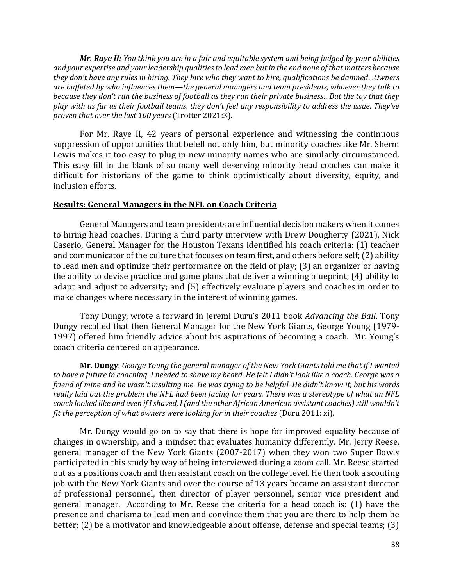*Mr. Raye II: You think you are in a fair and equitable system and being judged by your abilities and your expertise and your leadership qualities to lead men but in the end none of that matters because they don't have any rules in hiring. They hire who they want to hire, qualifications be damned…Owners are buffeted by who influences them—the general managers and team presidents, whoever they talk to because they don't run the business of football as they run their private business…But the toy that they play with as far as their football teams, they don't feel any responsibility to address the issue. They've proven that over the last 100 years* (Trotter 2021:3).

For Mr. Raye II, 42 years of personal experience and witnessing the continuous suppression of opportunities that befell not only him, but minority coaches like Mr. Sherm Lewis makes it too easy to plug in new minority names who are similarly circumstanced. This easy fill in the blank of so many well deserving minority head coaches can make it difficult for historians of the game to think optimistically about diversity, equity, and inclusion efforts.

### **Results: General Managers in the NFL on Coach Criteria**

General Managers and team presidents are influential decision makers when it comes to hiring head coaches. During a third party interview with Drew Dougherty (2021), Nick Caserio, General Manager for the Houston Texans identified his coach criteria: (1) teacher and communicator of the culture that focuses on team first, and others before self; (2) ability to lead men and optimize their performance on the field of play; (3) an organizer or having the ability to devise practice and game plans that deliver a winning blueprint; (4) ability to adapt and adjust to adversity; and (5) effectively evaluate players and coaches in order to make changes where necessary in the interest of winning games.

Tony Dungy, wrote a forward in Jeremi Duru's 2011 book *Advancing the Ball*. Tony Dungy recalled that then General Manager for the New York Giants, George Young (1979- 1997) offered him friendly advice about his aspirations of becoming a coach. Mr. Young's coach criteria centered on appearance.

**Mr. Dungy**: *George Young the general manager of the New York Giants told me that if I wanted to have a future in coaching. I needed to shave my beard. He felt I didn't look like a coach. George was a friend of mine and he wasn't insulting me. He was trying to be helpful. He didn't know it, but his words really laid out the problem the NFL had been facing for years. There was a stereotype of what an NFL coach looked like and even if I shaved, I (and the other African American assistant coaches) still wouldn't fit the perception of what owners were looking for in their coaches (Duru 2011: xi).* 

Mr. Dungy would go on to say that there is hope for improved equality because of changes in ownership, and a mindset that evaluates humanity differently. Mr. Jerry Reese, general manager of the New York Giants (2007-2017) when they won two Super Bowls participated in this study by way of being interviewed during a zoom call. Mr. Reese started out as a positions coach and then assistant coach on the college level. He then took a scouting job with the New York Giants and over the course of 13 years became an assistant director of professional personnel, then director of player personnel, senior vice president and general manager. According to Mr. Reese the criteria for a head coach is: (1) have the presence and charisma to lead men and convince them that you are there to help them be better; (2) be a motivator and knowledgeable about offense, defense and special teams; (3)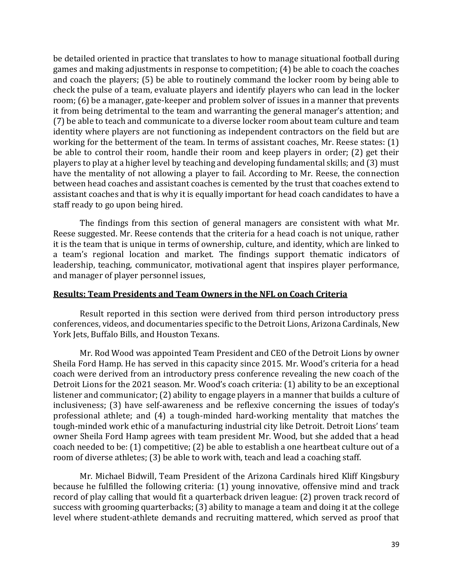be detailed oriented in practice that translates to how to manage situational football during games and making adjustments in response to competition; (4) be able to coach the coaches and coach the players; (5) be able to routinely command the locker room by being able to check the pulse of a team, evaluate players and identify players who can lead in the locker room; (6) be a manager, gate-keeper and problem solver of issues in a manner that prevents it from being detrimental to the team and warranting the general manager's attention; and (7) be able to teach and communicate to a diverse locker room about team culture and team identity where players are not functioning as independent contractors on the field but are working for the betterment of the team. In terms of assistant coaches, Mr. Reese states: (1) be able to control their room, handle their room and keep players in order; (2) get their players to play at a higher level by teaching and developing fundamental skills; and (3) must have the mentality of not allowing a player to fail. According to Mr. Reese, the connection between head coaches and assistant coaches is cemented by the trust that coaches extend to assistant coaches and that is why it is equally important for head coach candidates to have a staff ready to go upon being hired.

The findings from this section of general managers are consistent with what Mr. Reese suggested. Mr. Reese contends that the criteria for a head coach is not unique, rather it is the team that is unique in terms of ownership, culture, and identity, which are linked to a team's regional location and market. The findings support thematic indicators of leadership, teaching, communicator, motivational agent that inspires player performance, and manager of player personnel issues,

### **Results: Team Presidents and Team Owners in the NFL on Coach Criteria**

Result reported in this section were derived from third person introductory press conferences, videos, and documentaries specific to the Detroit Lions, Arizona Cardinals, New York Jets, Buffalo Bills, and Houston Texans.

Mr. Rod Wood was appointed Team President and CEO of the Detroit Lions by owner Sheila Ford Hamp. He has served in this capacity since 2015. Mr. Wood's criteria for a head coach were derived from an introductory press conference revealing the new coach of the Detroit Lions for the 2021 season. Mr. Wood's coach criteria: (1) ability to be an exceptional listener and communicator; (2) ability to engage players in a manner that builds a culture of inclusiveness; (3) have self-awareness and be reflexive concerning the issues of today's professional athlete; and (4) a tough-minded hard-working mentality that matches the tough-minded work ethic of a manufacturing industrial city like Detroit. Detroit Lions' team owner Sheila Ford Hamp agrees with team president Mr. Wood, but she added that a head coach needed to be: (1) competitive; (2) be able to establish a one heartbeat culture out of a room of diverse athletes; (3) be able to work with, teach and lead a coaching staff.

Mr. Michael Bidwill, Team President of the Arizona Cardinals hired Kliff Kingsbury because he fulfilled the following criteria: (1) young innovative, offensive mind and track record of play calling that would fit a quarterback driven league: (2) proven track record of success with grooming quarterbacks; (3) ability to manage a team and doing it at the college level where student-athlete demands and recruiting mattered, which served as proof that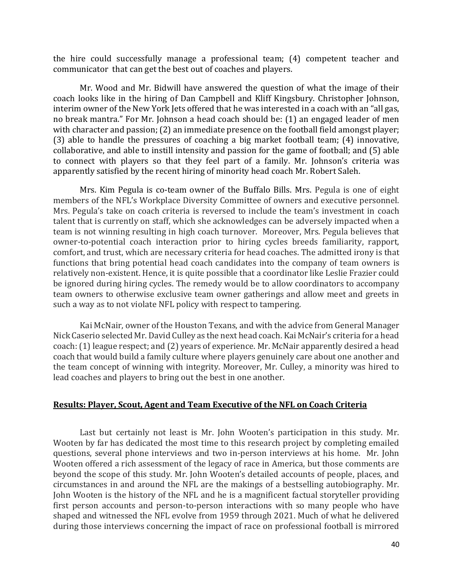the hire could successfully manage a professional team; (4) competent teacher and communicator that can get the best out of coaches and players.

Mr. Wood and Mr. Bidwill have answered the question of what the image of their coach looks like in the hiring of Dan Campbell and Kliff Kingsbury. Christopher Johnson, interim owner of the New York Jets offered that he was interested in a coach with an "all gas, no break mantra." For Mr. Johnson a head coach should be: (1) an engaged leader of men with character and passion; (2) an immediate presence on the football field amongst player; (3) able to handle the pressures of coaching a big market football team; (4) innovative, collaborative, and able to instill intensity and passion for the game of football; and (5) able to connect with players so that they feel part of a family. Mr. Johnson's criteria was apparently satisfied by the recent hiring of minority head coach Mr. Robert Saleh.

Mrs. Kim Pegula is co-team owner of the Buffalo Bills. Mrs. Pegula is one of eight members of the NFL's Workplace Diversity Committee of owners and executive personnel. Mrs. Pegula's take on coach criteria is reversed to include the team's investment in coach talent that is currently on staff, which she acknowledges can be adversely impacted when a team is not winning resulting in high coach turnover. Moreover, Mrs. Pegula believes that owner-to-potential coach interaction prior to hiring cycles breeds familiarity, rapport, comfort, and trust, which are necessary criteria for head coaches. The admitted irony is that functions that bring potential head coach candidates into the company of team owners is relatively non-existent. Hence, it is quite possible that a coordinator like Leslie Frazier could be ignored during hiring cycles. The remedy would be to allow coordinators to accompany team owners to otherwise exclusive team owner gatherings and allow meet and greets in such a way as to not violate NFL policy with respect to tampering.

Kai McNair, owner of the Houston Texans, and with the advice from General Manager Nick Caserio selected Mr. David Culley as the next head coach. Kai McNair's criteria for a head coach: (1) league respect; and (2) years of experience. Mr. McNair apparently desired a head coach that would build a family culture where players genuinely care about one another and the team concept of winning with integrity. Moreover, Mr. Culley, a minority was hired to lead coaches and players to bring out the best in one another.

## **Results: Player, Scout, Agent and Team Executive of the NFL on Coach Criteria**

Last but certainly not least is Mr. John Wooten's participation in this study. Mr. Wooten by far has dedicated the most time to this research project by completing emailed questions, several phone interviews and two in-person interviews at his home. Mr. John Wooten offered a rich assessment of the legacy of race in America, but those comments are beyond the scope of this study. Mr. John Wooten's detailed accounts of people, places, and circumstances in and around the NFL are the makings of a bestselling autobiography. Mr. John Wooten is the history of the NFL and he is a magnificent factual storyteller providing first person accounts and person-to-person interactions with so many people who have shaped and witnessed the NFL evolve from 1959 through 2021. Much of what he delivered during those interviews concerning the impact of race on professional football is mirrored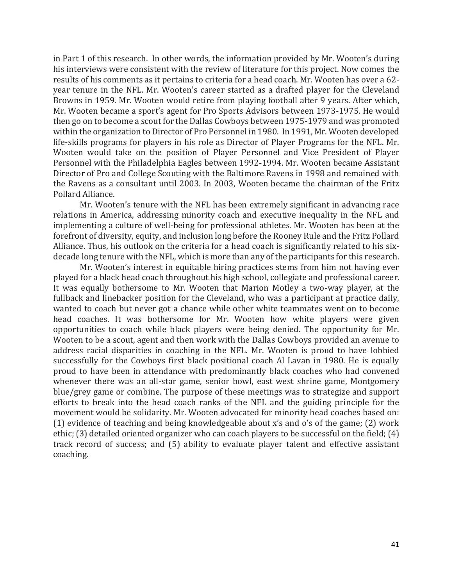in Part 1 of this research. In other words, the information provided by Mr. Wooten's during his interviews were consistent with the review of literature for this project. Now comes the results of his comments as it pertains to criteria for a head coach. Mr. Wooten has over a 62 year tenure in the NFL. Mr. Wooten's career started as a drafted player for the Cleveland Browns in 1959. Mr. Wooten would retire from playing football after 9 years. After which, Mr. Wooten became a sport's agent for Pro Sports Advisors between 1973-1975. He would then go on to become a scout for the Dallas Cowboys between 1975-1979 and was promoted within the organization to Director of Pro Personnel in 1980. In 1991, Mr. Wooten developed life-skills programs for players in his role as Director of Player Programs for the NFL. Mr. Wooten would take on the position of Player Personnel and Vice President of Player Personnel with the Philadelphia Eagles between 1992-1994. Mr. Wooten became Assistant Director of Pro and College Scouting with the Baltimore Ravens in 1998 and remained with the Ravens as a consultant until 2003. In 2003, Wooten became the chairman of the Fritz Pollard Alliance.

Mr. Wooten's tenure with the NFL has been extremely significant in advancing race relations in America, addressing minority coach and executive inequality in the NFL and implementing a culture of well-being for professional athletes. Mr. Wooten has been at the forefront of diversity, equity, and inclusion long before the Rooney Rule and the Fritz Pollard Alliance. Thus, his outlook on the criteria for a head coach is significantly related to his sixdecade long tenure with the NFL, which is more than any of the participants for this research.

Mr. Wooten's interest in equitable hiring practices stems from him not having ever played for a black head coach throughout his high school, collegiate and professional career. It was equally bothersome to Mr. Wooten that Marion Motley a two-way player, at the fullback and linebacker position for the Cleveland, who was a participant at practice daily, wanted to coach but never got a chance while other white teammates went on to become head coaches. It was bothersome for Mr. Wooten how white players were given opportunities to coach while black players were being denied. The opportunity for Mr. Wooten to be a scout, agent and then work with the Dallas Cowboys provided an avenue to address racial disparities in coaching in the NFL. Mr. Wooten is proud to have lobbied successfully for the Cowboys first black positional coach Al Lavan in 1980. He is equally proud to have been in attendance with predominantly black coaches who had convened whenever there was an all-star game, senior bowl, east west shrine game, Montgomery blue/grey game or combine. The purpose of these meetings was to strategize and support efforts to break into the head coach ranks of the NFL and the guiding principle for the movement would be solidarity. Mr. Wooten advocated for minority head coaches based on: (1) evidence of teaching and being knowledgeable about x's and o's of the game; (2) work ethic; (3) detailed oriented organizer who can coach players to be successful on the field; (4) track record of success; and (5) ability to evaluate player talent and effective assistant coaching.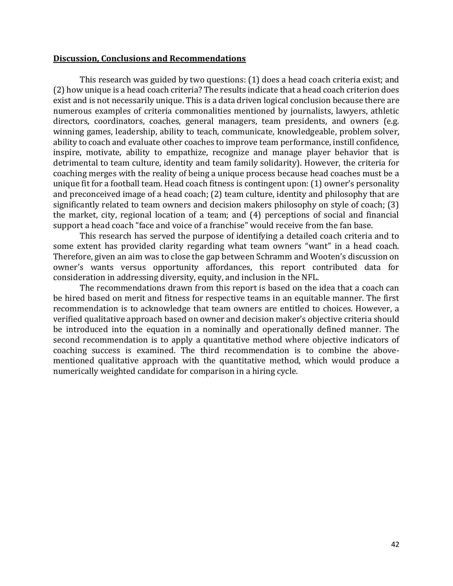#### **Discussion, Conclusions and Recommendations**

This research was guided by two questions: (1) does a head coach criteria exist; and (2) how unique is a head coach criteria? The results indicate that a head coach criterion does exist and is not necessarily unique. This is a data driven logical conclusion because there are numerous examples of criteria commonalities mentioned by journalists, lawyers, athletic directors, coordinators, coaches, general managers, team presidents, and owners (e.g. winning games, leadership, ability to teach, communicate, knowledgeable, problem solver, ability to coach and evaluate other coaches to improve team performance, instill confidence, inspire, motivate, ability to empathize, recognize and manage player behavior that is detrimental to team culture, identity and team family solidarity). However, the criteria for coaching merges with the reality of being a unique process because head coaches must be a unique fit for a football team. Head coach fitness is contingent upon: (1) owner's personality and preconceived image of a head coach; (2) team culture, identity and philosophy that are significantly related to team owners and decision makers philosophy on style of coach; (3) the market, city, regional location of a team; and (4) perceptions of social and financial support a head coach "face and voice of a franchise" would receive from the fan base.

This research has served the purpose of identifying a detailed coach criteria and to some extent has provided clarity regarding what team owners "want" in a head coach. Therefore, given an aim was to close the gap between Schramm and Wooten's discussion on owner's wants versus opportunity affordances, this report contributed data for consideration in addressing diversity, equity, and inclusion in the NFL.

The recommendations drawn from this report is based on the idea that a coach can be hired based on merit and fitness for respective teams in an equitable manner. The first recommendation is to acknowledge that team owners are entitled to choices. However, a verified qualitative approach based on owner and decision maker's objective criteria should be introduced into the equation in a nominally and operationally defined manner. The second recommendation is to apply a quantitative method where objective indicators of coaching success is examined. The third recommendation is to combine the abovementioned qualitative approach with the quantitative method, which would produce a numerically weighted candidate for comparison in a hiring cycle.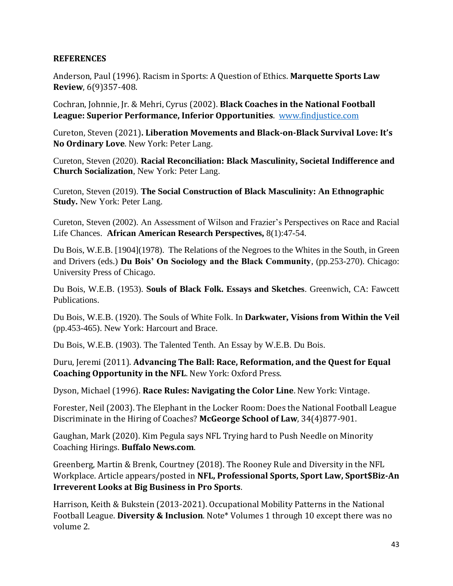# **REFERENCES**

Anderson, Paul (1996). Racism in Sports: A Question of Ethics. **Marquette Sports Law Review**, 6(9)357-408.

Cochran, Johnnie, Jr. & Mehri, Cyrus (2002). **Black Coaches in the National Football League: Superior Performance, Inferior Opportunities**. [www.findjustice.com](http://www.findjustice.com/)

Cureton, Steven (2021)**. Liberation Movements and Black-on-Black Survival Love: It's No Ordinary Love**. New York: Peter Lang.

Cureton, Steven (2020). **Racial Reconciliation: Black Masculinity, Societal Indifference and Church Socialization**, New York: Peter Lang.

Cureton, Steven (2019). **The Social Construction of Black Masculinity: An Ethnographic Study.** New York: Peter Lang.

Cureton, Steven (2002). An Assessment of Wilson and Frazier's Perspectives on Race and Racial Life Chances. **African American Research Perspectives,** 8(1):47-54.

Du Bois, W.E.B. [1904](1978). The Relations of the Negroes to the Whites in the South, in Green and Drivers (eds.) **Du Bois' On Sociology and the Black Community**, (pp.253-270). Chicago: University Press of Chicago.

Du Bois, W.E.B. (1953). **Souls of Black Folk. Essays and Sketches**. Greenwich, CA: Fawcett Publications.

Du Bois, W.E.B. (1920). The Souls of White Folk. In **Darkwater, Visions from Within the Veil** (pp.453-465). New York: Harcourt and Brace.

Du Bois, W.E.B. (1903). The Talented Tenth. An Essay by W.E.B. Du Bois.

Duru, Jeremi (2011). **Advancing The Ball: Race, Reformation, and the Quest for Equal Coaching Opportunity in the NFL**. New York: Oxford Press.

Dyson, Michael (1996). **Race Rules: Navigating the Color Line**. New York: Vintage.

Forester, Neil (2003). The Elephant in the Locker Room: Does the National Football League Discriminate in the Hiring of Coaches? **McGeorge School of Law**, 34(4)877-901.

Gaughan, Mark (2020). Kim Pegula says NFL Trying hard to Push Needle on Minority Coaching Hirings. **Buffalo News.com**.

Greenberg, Martin & Brenk, Courtney (2018). The Rooney Rule and Diversity in the NFL Workplace. Article appears/posted in **NFL, Professional Sports, Sport Law, Sport\$Biz-An Irreverent Looks at Big Business in Pro Sports**.

Harrison, Keith & Bukstein (2013-2021). Occupational Mobility Patterns in the National Football League. **Diversity & Inclusion**. Note\* Volumes 1 through 10 except there was no volume 2.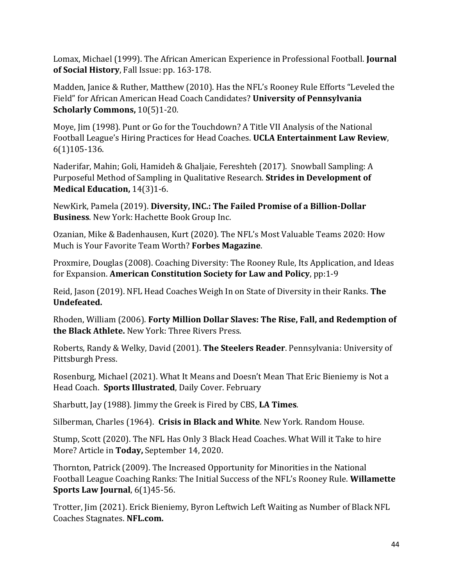Lomax, Michael (1999). The African American Experience in Professional Football. **Journal of Social History**, Fall Issue: pp. 163-178.

Madden, Janice & Ruther, Matthew (2010). Has the NFL's Rooney Rule Efforts "Leveled the Field" for African American Head Coach Candidates? **University of Pennsylvania Scholarly Commons,** 10(5)1-20.

Moye, Jim (1998). Punt or Go for the Touchdown? A Title VII Analysis of the National Football League's Hiring Practices for Head Coaches. **UCLA Entertainment Law Review**, 6(1)105-136.

Naderifar, Mahin; Goli, Hamideh & Ghaljaie, Fereshteh (2017). Snowball Sampling: A Purposeful Method of Sampling in Qualitative Research. **Strides in Development of Medical Education,** 14(3)1-6.

NewKirk, Pamela (2019). **Diversity, INC.: The Failed Promise of a Billion-Dollar Business**. New York: Hachette Book Group Inc.

Ozanian, Mike & Badenhausen, Kurt (2020). The NFL's Most Valuable Teams 2020: How Much is Your Favorite Team Worth? **Forbes Magazine**.

Proxmire, Douglas (2008). Coaching Diversity: The Rooney Rule, Its Application, and Ideas for Expansion. **American Constitution Society for Law and Policy**, pp:1-9

Reid, Jason (2019). NFL Head Coaches Weigh In on State of Diversity in their Ranks. **The Undefeated.** 

Rhoden, William (2006). **Forty Million Dollar Slaves: The Rise, Fall, and Redemption of the Black Athlete.** New York: Three Rivers Press.

Roberts, Randy & Welky, David (2001). **The Steelers Reader**. Pennsylvania: University of Pittsburgh Press.

Rosenburg, Michael (2021). What It Means and Doesn't Mean That Eric Bieniemy is Not a Head Coach. **Sports Illustrated**, Daily Cover. February

Sharbutt, Jay (1988). Jimmy the Greek is Fired by CBS, **LA Times**.

Silberman, Charles (1964). **Crisis in Black and White**. New York. Random House.

Stump, Scott (2020). The NFL Has Only 3 Black Head Coaches. What Will it Take to hire More? Article in **Today,** September 14, 2020.

Thornton, Patrick (2009). The Increased Opportunity for Minorities in the National Football League Coaching Ranks: The Initial Success of the NFL's Rooney Rule. **Willamette Sports Law Journal**, 6(1)45-56.

Trotter, Jim (2021). Erick Bieniemy, Byron Leftwich Left Waiting as Number of Black NFL Coaches Stagnates. **NFL.com.**